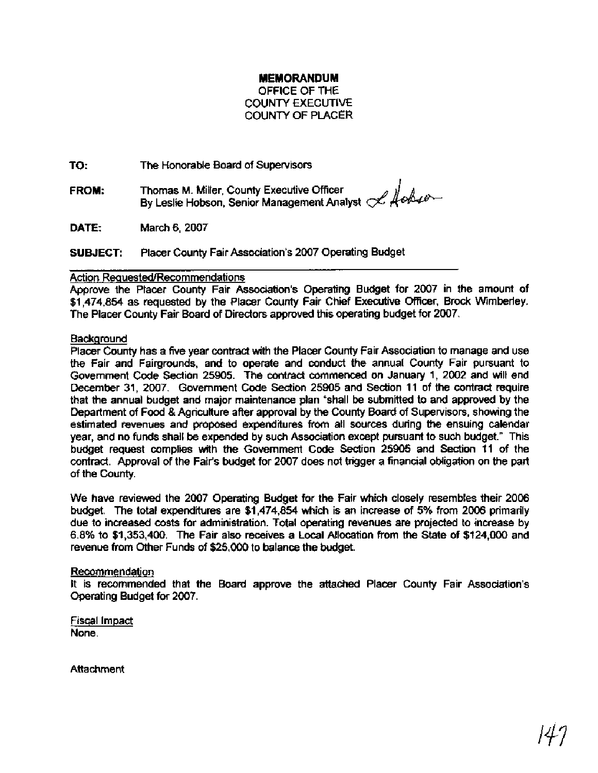# **MEMORANDUM**

OFFICE OF THE COUNTY EXECUTIVE COUNTY OF PLACER

**TO:** The Honorable Board of Supervisors

**FROM:** Thomas M. Miller, County Executive Officer The Honorable Board of Supervisors<br>Thomas M. Miller, County Executive Officer<br>By Leslie Hobson, Senior Management Analyst *& Aobse* 

**DATE:** March 6,2007

**SUBJECT:** Placer County Fair Association's 2007 Operating Budget

## Action **Reauested/Recommendations**

Approve the Placer County Fair Association's Operating Budget for 2007 in the amount of \$1,474,854 as requested by the Placer County Fair Chief Executive Officer, Brock Wimberley. The Placer County Fair Board of Directors approved this operating budget for 2007.

## **Background**

Placer County has a five year contract with the Placer County Fair Association to manage and use the Fair and Fairgrounds, and to operate and conduct the annual County Fair pursuant to Government Code Section 25905. The contract commenced on January 1, 2002 and will end December 31, 2007. Government Code Section 25905 and Section 11 of the contract require that the annual budget and major maintenance plan "shall be submitted to and approved by the Department of Food & Agricutture after approval by the County Board of Supervisors, showing the estimated revenues and proposed expenditures from all sources during the ensuing calendar year, and no funds shall be expended by such Association except pursuant to such budget." This budget request complies with the Government Code Section 25905 and Section 11 of the contract. Approval of the Fair's budget for 2007 does not trigger a financial obligation on the part of the County.

We have reviewed the 2007 Operating Budget for the Fair which closely resembles their 2006 budget. The total expenditures are \$1,474,854 which is an increase of 5% from 2006 primarily due to increased costs for administration. Total operating revenues are projected to increase by 6.8% to \$1,353,400. The Fair also receives a Local Allocation from the State of \$124,000 and revenue from Other Funds of \$25,000 to balance the budget.

#### Recommendation

It is recommended that the Board approve the attached Placer County Fair Association's Operating Budget for 2007.

Fiscal Impact None.

Attachment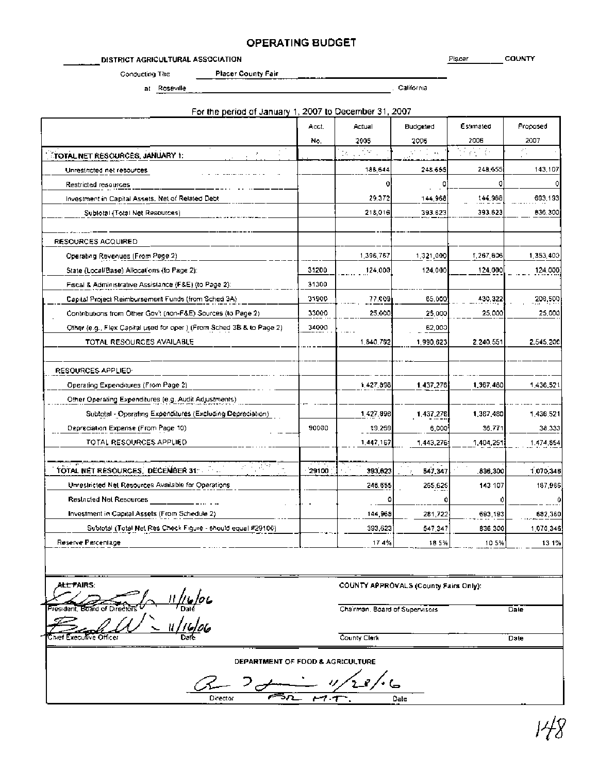# **OPERATING BUDGET**

DISTRICT AGRICULTURAL ASSOCIATION **Placer** COUNTY

Conducting The Placer County Fair

at Roseville , california , california , california , california , california

|                                                                        | Acct. | Actual    | Budgeted  | Estimated                                  | Proposed  |
|------------------------------------------------------------------------|-------|-----------|-----------|--------------------------------------------|-----------|
|                                                                        | No.   | 2005      | 2006      | 2006                                       | 2007      |
| TOTAL NET RESOURCES, JANUARY 1:                                        |       | a Jako    | せかしん      | $\mathcal{E}^{\text{out}}_{\mathbf{L}}(t)$ | z,        |
| Unrestricted net resources                                             |       | 188,644   | 248,655   | 248,655                                    | 143,107   |
| Restricted resources                                                   |       |           | 0         | ٥                                          |           |
| Investment in Capital Assets, Net of Related Debt                      |       | 29,372    | 144,968   | 144,968                                    | 693,193   |
| Sublotal (Total Net Resources)                                         |       | 218,016   | 393.623   | 393.623                                    | 836,300   |
| RESOURCES ACQUIRED                                                     |       |           |           |                                            |           |
| Operating Revenues (From Page 2)                                       |       | 1,396,767 | 1,321,000 | 1,267,606                                  | 1,353,409 |
| State (Local/Base) Allocations (to Page 2):                            | 31200 | 124,000   | 124,000   | 124,000                                    | 124.000   |
| Fiscal & Administrative Assistance (F&E) (to Page 2):                  | 31300 |           |           |                                            |           |
| Capital Project Reimbursement Funds (from Sched 3A)                    | 31900 | 77.009    | 65,000    | 430,322                                    | 206,500   |
| Contributions from Other Gov't (non-F&E) Sources (to Page 2).          | 33000 | 25,000    | 25,000    | 25,000                                     | 25,000    |
| Other (e.g., Flex Capital used for oper.) (From Sched 3B & to Page 2). | 34000 |           | 62,000    |                                            |           |
| TOTAL RESOURCES AVAILABLE                                              |       | 1,840,792 | 1,990,623 | 2.240,551                                  | 2.545.200 |
| RESOURCES APPLIED:                                                     |       |           |           |                                            |           |
| Operating Expenditures (From Page 2)                                   |       | 1,427,898 | 1.437,276 | 1,367,480                                  | 1,436,521 |
| Other Operating Expenditures (e.g. Audit Adjustments)                  |       |           |           |                                            |           |
| Subtotal - Operating Expenditures (Excluding Depreciation)             |       | 1.427.898 | 1,437,276 | 1,367,480                                  | 1,436,521 |
| Depreciation Expense (From Page 10)                                    | 90000 | 19,269    | 6,000     | 36,771                                     | 38,333    |
| TOTAL RESOURCES APPLIED                                                |       | 1,447,167 | 1,443,276 | 1,404,251                                  | 1.474,854 |
| an Page 1<br>TOTAL NET RESOURCES, DECEMBER 31: 40                      | 29100 | 393,623   | 547,347   | 836,300                                    | 1,070,346 |
| Unrestricted Net Resources Available for Operations                    |       | 246.655   | 265,625   | 143 107                                    | 187,966   |
| Restricted Net Resources                                               |       |           |           |                                            |           |
| Investment in Capital Assets (From Schedule 2).                        |       | 144,968   | 281,722   | 693,193                                    | 692,360   |
| Subtotal (Total Net Res Check Figure - should equal #29100)            |       | 393,623   | 547,347   | <b>B36,300</b>                             | 1,070,346 |
| Reserve Percentage                                                     |       | 174%      | 185%      | 105%                                       | 131%      |

ALLTAIRS: 11/16/06<br>- 11/16/06<br>- 11/16/06 xecutive Officer

COUNTY APPROVALS (County Fairs Only):

Chairman, Board of Supervisors **Date** 

County Clerk Date

**DEPARTMENT OF FOOD & AGRICULTURE** 

Director Carl **Branch Comment Comment Comment Comment Comment Comment Comment Comment Comment Comment Comment Comment Comment Comment Comment Comment Comment Comment Comment Comment Comment Comment Comment Comment Comment**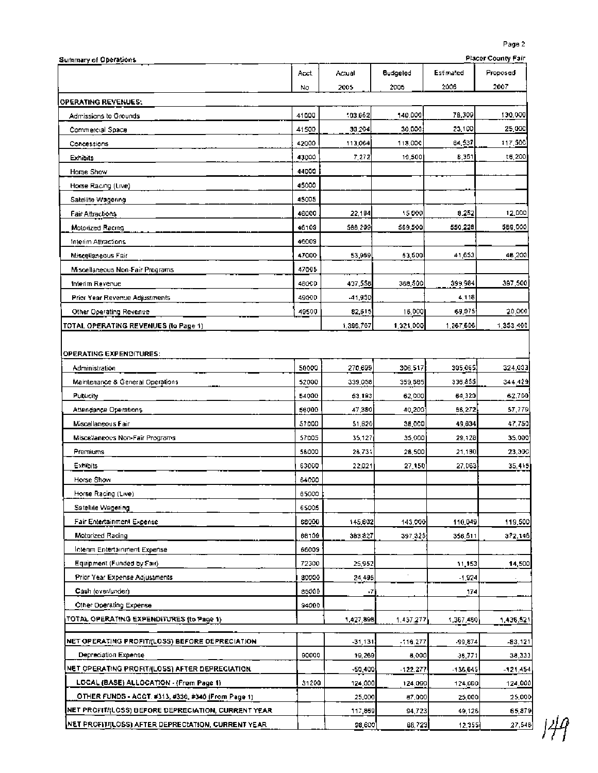| <b>Summary of Operations</b>                        |       |           |           |           | Placer County Fair |
|-----------------------------------------------------|-------|-----------|-----------|-----------|--------------------|
|                                                     | Acct. | Actual    | Budgeled  | Estimated | Proposed           |
|                                                     | No    | 2005      | 2006      | 2006      | 2007               |
| <b>OPERATING REVENUES:</b>                          |       |           |           |           |                    |
| Admissions to Grounds                               | 41000 | 103.652   | 140,000   | 78,309    | 130,000            |
| Commercial Space                                    | 41500 | 30.204    | 30,000    | 23,100    | 25,000             |
| Concessions                                         | 42000 | 113,064   | 118,000   | 84,537    | 117,500            |
| Exhibits                                            | 43000 | 7,272     | 10,500    | 8,351     | 16,200             |
| <b>Horse Show</b>                                   | 44000 |           |           |           |                    |
| Horse Racing (Live)                                 | 45000 |           |           |           |                    |
| Satellite Wagering                                  | 45005 |           |           |           |                    |
| <b>Fair Attractions</b>                             | 46000 | 22,184    | 15000     | 8.252     | 12,000             |
| Motorized Racing                                    | 46109 | 588,209   | 569,500   | 550,228   | 589,000            |
| Interim Attractions                                 | 46009 |           |           |           |                    |
| Miscellaneous Fair                                  | 47000 | 53,959    | 53,500    | 41,653    | 46,200             |
| Miscellaneous Non-Fair Programs                     | 47005 |           |           |           |                    |
| Interim Revenue                                     | 480CD | 437,558   | 368,500   | 399,984   | 397,500            |
| Prior Year Revenue Adjustments                      | 490CD | -41,950   |           | 4,118     |                    |
| Other Operating Revenue                             | 49500 | 82,615    | 16,000    | 69,075    | 20,000             |
| TOTAL OPERATING REVENUES (to Page 1)                |       | 1.396.767 | 1,321,000 | 1,267,606 | 1,353,400          |
| OPERATING EXPENDITURES:                             | 50000 | 270,699   | 306,517   | 305,065.  | 324,003            |
| Administration                                      |       |           |           |           |                    |
| Maintenance & General Operations                    | 52000 | 339,058   | 359,585   | 336,855   | 344.429            |
| Publicity                                           | 54000 | 53,193    | 62,000    | 64,320    | 62,700             |
| Attendance Operations                               | 56000 | 47,380    | 40,200    | 56,272    | 57,779             |
| Miscallaneous Fair                                  | 57000 | 51,820    | 38,000    | 49,634    | 47,750             |
| Miscellaneous Non-Fair Programs                     | 57005 | 35,127    | 35,000    | 29,128    | 35.000             |
| Premiums                                            | 56000 | 26,731    | 28,500    | 21,190    | 23,300             |
| Exhibits                                            | 63000 | 22,021    | 27,150    | 27,063    | 35,415             |
| Horse Show                                          | 64000 |           |           |           |                    |
| Horse Racing (Live)                                 | 65000 |           |           |           |                    |
| Satellile Wagering                                  | 65005 |           |           |           |                    |
| Fair Entertainment Expense                          | 66000 | 145,602   | 143,000   | 110,049   | 119,500            |
| Motorized Racing                                    | 66109 | 383,827   | 397,325   | 358.511   | 372.146            |
| Intenm Entertainment Expense                        | 66009 |           |           |           |                    |
| Equipment (Funded by Fair).                         | 72300 | 25,952    |           | 11,153    | 14,500             |
| Prior Year Expense Adjustments                      | 80000 | 24,495    |           | $-1,924$  |                    |
| Cash (over/under)                                   | 85000 | -7        |           | 174       |                    |
| Other Operating Expense                             | 94000 |           |           |           |                    |
| TOTAL OPERATING EXPENDITURES (to Page 1)            |       | 1,427,898 | 1.437.277 | 1,367,480 | 1,436.521          |
| NET OPERATING PROFIT/(LOSS) BEFORE DEPRECIATION     |       | -31,131   | -116.277  | -99,874   | -83.121            |
| Depreciation Expense                                | 90000 | 19,269    | 8,000     | 36,771    | 38,333             |
| NET OPERATING PROFITI(LOSS) AFTER DEPRECIATION      |       | $-50,400$ | -122.277  | -136,645  | $-121,454$         |
| LOCAL (BASE) ALLOCATION - (From Page 1)             | 31200 | 124,000   | 124,000   | 124,000   | 124,000            |
| OTHER FUNDS - ACCT. #313, #330, #340 (From Page 1)  |       | 25,000    | 87,000    | 25,000    | 25,000             |
| NET PROFIT/(LOSS) BEFORE DEPRECIATION, CURRENT YEAR |       | 117,869   | 94,723    | 49,126    | 65,879             |
| NET PROFIT/(LOSS) AFTER DEPRECIATION, CURRENT YEAR. |       | 98,600]   | 88,723    | 12,355    | 27,546             |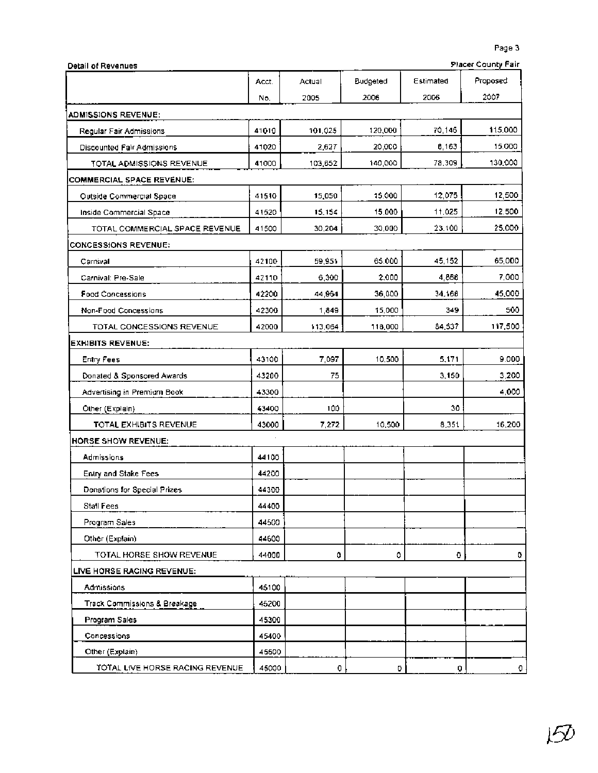| Placer County Fair |
|--------------------|
|--------------------|

| <b>Detail of Revenues</b>        |       |         |          |           | <b>Placer County Fair</b> |
|----------------------------------|-------|---------|----------|-----------|---------------------------|
|                                  | Acct. | Actual  | Budgeted | Estimated | Proposed                  |
|                                  | No.   | 2005    | 2006     | 2006      | 2007                      |
| ADMISSIONS REVENUE:              |       |         |          |           |                           |
| Regular Fair Admissions          | 41010 | 101.025 | 120,000  | 70,146    | 115,000                   |
| Discounted Fair Admissions       | 41020 | 2.627   | 20.0CO   | 8.163     | 15.000                    |
| TOTAL ADMISSIONS REVENUE         | 41000 | 103,652 | 140,000  | 78,309    | 130,000                   |
| <b>COMMERCIAL SPACE REVENUE:</b> |       |         |          |           |                           |
| <b>Outside Commercial Space</b>  | 41510 | 15,050  | 15.000   | 12,075    | 12,500                    |
| Inside Commercial Space          | 41520 | 15, 154 | 15,000   | 11,025    | 12.500                    |
| TOTAL COMMERCIAL SPACE REVENUE   | 41500 | 30,204  | 30,000   | 23.100    | 25.000                    |
| <b>CONCESSIONS REVENUE:</b>      |       |         |          |           |                           |
| Carnival                         | 42100 | 59,951  | 65,000   | 45,152    | 65,000                    |
| Carnival: Pre-Sale               | 42110 | 6,300   | 2,000    | 4,868     | 7,000                     |
| <b>Food Concessions</b>          | 42200 | 44,964  | 36,000   | 34,168    | 45,000                    |
| Non-Food Concessions             | 42300 | 1,849   | 15,000   | 349       | 500                       |
| TOTAL CONCESSIONS REVENUE        | 42000 | 113,064 | 118,000  | 84,537    | 117,500                   |
| <b>EXHIBITS REVENUE:</b>         |       |         |          |           |                           |
| Entry Fees                       | 43100 | 7,097   | 10.500   | 5,171     | 9.000                     |
| Donated & Sponsored Awards       | 43200 | 75      |          | 3,150     | 3,200                     |
| Advertising in Premium Book      | 43300 |         |          |           | 4,000                     |
| Other (Explain)                  | 43400 | 100     |          | 30        |                           |
| TOTAL EXHIBITS REVENUE           | 43000 | 7,272   | 10,500   | 8,351     | 16,200                    |
| <b>HORSE SHOW REVENUE:</b>       |       |         |          |           |                           |
| Admissions                       | 44100 |         |          |           |                           |
| Entry and Stake Fees             | 44200 |         |          |           |                           |
| Donations for Special Prizes     | 44300 |         |          |           |                           |
| Stall Fees                       | 44400 |         |          |           |                           |
| Program Sales                    | 44500 |         |          |           |                           |
| Other (Explain)                  | 44600 |         |          |           |                           |
| TOTAL HORSE SHOW REVENUE         | 44000 | 0       | ٥        | ٥         | 0                         |
| LIVE HORSE RACING REVENUE:       |       |         |          |           |                           |
| <b>Admissions</b>                | 45100 |         |          |           |                           |
| Track Commissions & Breakage     | 45200 |         |          |           |                           |
| Program Sales                    | 45300 |         |          |           |                           |
| Concessions                      | 45400 |         |          |           |                           |
| Other (Explain)                  | 45500 |         |          |           |                           |
| TOTAL LIVE HORSE RACING REVENUE  | 45000 | 0       | D.       | Q         | o                         |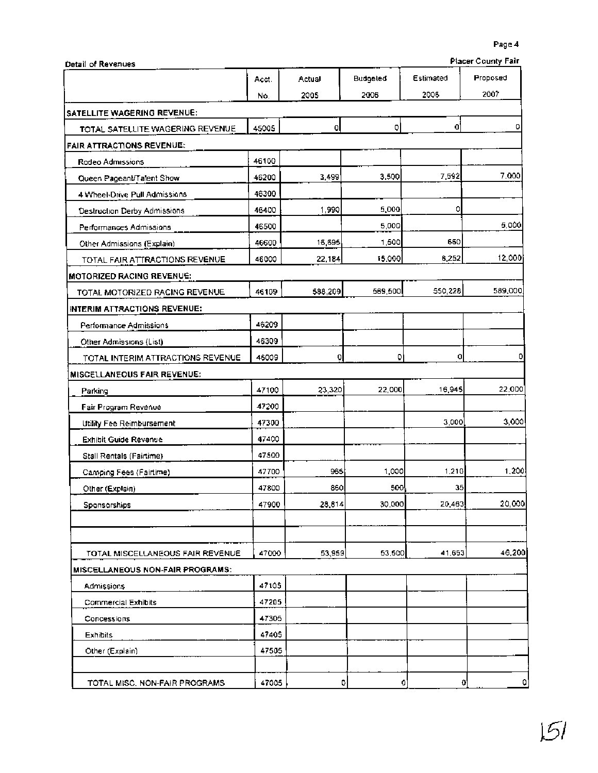|                                    | Acct. | Actual  | Budgeled | Estimated    | Proposed |
|------------------------------------|-------|---------|----------|--------------|----------|
|                                    | No.   | 2005    | 2006     | 2005         | 2007     |
| SATELLITE WAGERING REVENUE:        |       |         |          |              |          |
| TOTAL SATELLITE WAGERING REVENUE   | 45005 | ol      | o        | 0            | ٥        |
| <b>FAIR ATTRACTIONS REVENUE:</b>   |       |         |          |              |          |
| Rodeo Admissions                   | 46100 |         |          |              |          |
| Queen Pageant/Talent Show          | 46200 | 3,499   | 3.500    | 7,592        | 7,000    |
| 4 Wheel-Drive Pull Admissions      | 46300 |         |          |              |          |
| Destruction Derby Admissions       | 46400 | 1,990   | 5,000    | ٥            |          |
| Performances Admissions            | 46500 |         | 5,000    |              | 5,000    |
| Other Admissions (Explain)         | 46600 | 16,695  | 1,500    | 660          |          |
| TOTAL FAIR ATTRACTIONS REVENUE     | 46000 | 22,184  | 15,000   | 6,252        | 12,000   |
| MOTORIZED RACING REVENUE:          |       |         |          |              |          |
| TOTAL MOTORIZED RACING REVENUE     | 46109 | 588,209 | 569,500  | 550,228      | 589,000  |
| INTERIM ATTRACTIONS REVENUE:       |       |         |          |              |          |
| Performance Admissions             | 46209 |         |          |              |          |
| Other Admissions (List)            | 46309 |         |          |              |          |
| TOTAL INTERIM ATTRACTIONS REVENUE  | 46009 | O       | 0        | 0            |          |
| <b>MISCELLANEQUS FAIR REVENUE:</b> |       |         |          |              |          |
| Parking                            | 47100 | 23,320  | 22,000   | 16,945       | 22,000   |
| Fair Program Revenue               | 47200 |         |          |              |          |
| Utility Fee Reimbursement          | 47300 |         |          | 3,000        | 3,000    |
| Exhibit Guide Revenue              | 47400 |         |          |              |          |
| Stall Rentals (Fairtime)           | 47500 |         |          |              |          |
| Camping Fees (Fairtime)            | 47700 | 965     | 1,000    | 1,210        | 1,200    |
| Other (Explain)                    | 47800 | 860     | 500      | 35           |          |
| Sponsorships                       | 47900 | 28,814  | 30,000   | 20,463       | 20,000   |
|                                    |       |         |          |              |          |
|                                    |       |         |          |              |          |
| TOTAL MISCELLANEOUS FAIR REVENUE   | 47000 | 53,959  | 53,500   | 41.653       | 46,200   |
| MISCELLANEOUS NON-FAIR PROGRAMS:   |       |         |          |              |          |
| Admissions                         | 47105 |         |          |              |          |
| Commercial Exhibits                | 47205 |         |          |              |          |
| Concessions                        | 47305 |         |          |              |          |
| Exhibits                           | 47405 |         |          |              |          |
| Other (Explain)                    | 47505 |         |          |              |          |
|                                    |       |         |          |              |          |
| TOTAL MISC. NON-FAIR PROGRAMS      | 47005 | ٥       | ٥        | $\mathbf{o}$ | O,       |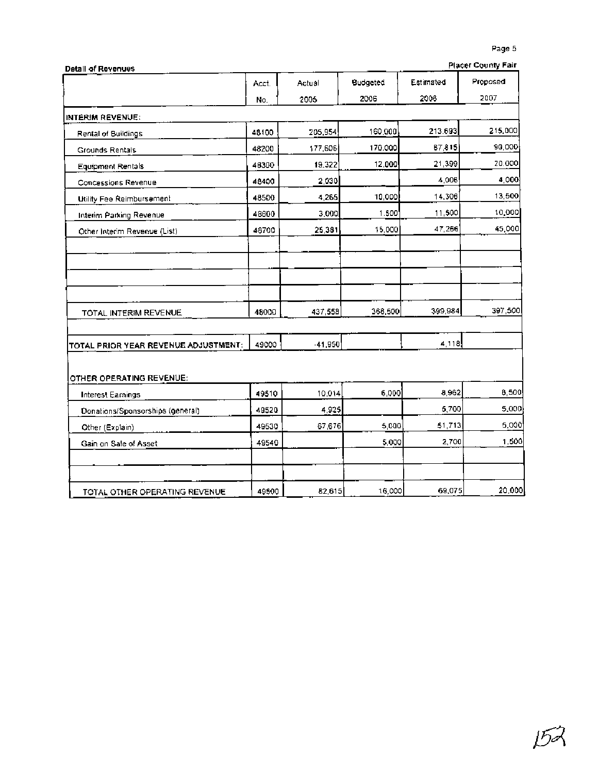|                                      |       |           |          |           | Page 5<br><b>Placer County Fair</b> |
|--------------------------------------|-------|-----------|----------|-----------|-------------------------------------|
| <b>Detail of Revenues</b>            | Acct. | Actual    | Budgeted | Estimated | Proposed                            |
|                                      | No.   | 2005      | 2006     | 2006      | 2007                                |
| INTERIM REVENUE:                     |       |           |          |           |                                     |
| Rental of Buildings                  | 48100 | 205,954   | 160,000  | 213.693   | 215,000                             |
| Grounds Rentals                      | 48200 | 177,606   | 170,000  | 87,815    | 90,000                              |
| Equipment Rentals                    | 46300 | 19.322    | 12,000   | 21,399    | 20.000                              |
| Concessions Revenue                  | 48400 | 2,030     |          | 4.006     | 4,000                               |
| Utility Fee Reimbursement            | 48500 | 4,265     | 10,000   | 14,306    | 13,500                              |
| Interim Parking Revenue              | 48600 | 3,000     | 1.500    | 11,500    | 10,000                              |
| Other Interim Revenue (List)         | 48700 | 25,381    | 15,000   | 47,266    | 45,000                              |
|                                      |       |           |          |           |                                     |
| TOTAL INTERIM REVENUE                | 48000 | 437,558   | 368,500  | 399,984   | 397,500                             |
| TOTAL PRIOR YEAR REVENUE ADJUSTMENT: | 49000 | $-41,950$ |          | 4,118     |                                     |
| OTHER OPERATING REVENUE:             |       |           |          |           |                                     |
| <b>Interest Earnings</b>             | 49510 | 10,014    | 6,000    | 8,962     | 8,500                               |
| Donations/Sponsorships (general)     | 49520 | 4,925     |          | 5,700     | 5,000                               |
| Other (Explain)                      | 49530 | 67,676    | 5,000    | 51,713    | 5,000                               |
| Gain on Sale of Asset                | 49540 |           | 5,000    | 2,700     | 1.500                               |
|                                      |       |           |          |           |                                     |
| TOTAL OTHER OPERATING REVENUE        | 49500 | 82,615    | 16,000   | 69,075    | 20,000                              |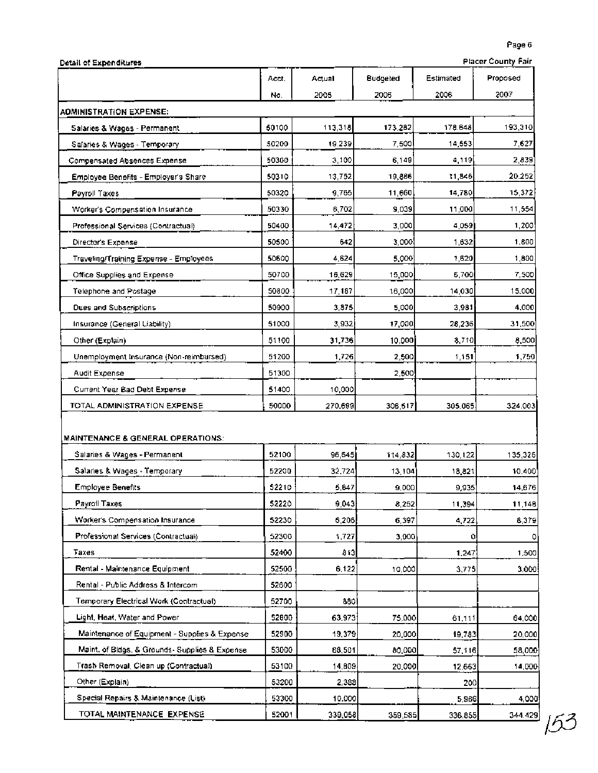|  | Detail of Expenditures |
|--|------------------------|
|--|------------------------|

| <b>Placer County Fair</b> |  |
|---------------------------|--|
|                           |  |

| Detail of Expenditures                         |       |         |          |           | <b>Placer County Fair</b> |
|------------------------------------------------|-------|---------|----------|-----------|---------------------------|
|                                                | Acct. | Actual  | Budgeted | Estimated | Proposed                  |
|                                                | No.   | 2005    | 2006     | 2006      | 2007                      |
| <b>ADMINISTRATION EXPENSE:</b>                 |       |         |          |           |                           |
| Salaries & Wages - Permanent                   | 50100 | 113,318 | 173.282  | 178.648   | 193,310                   |
| Salaries & Wages - Temporary                   | 50200 | 19.239  | 7,500    | 14,553    | 7,627                     |
| Compensated Absences Expense                   | 50300 | 3,100   | 6,149    | 4,119     | 2,839                     |
| Employee Benefits - Employer's Share           | 50310 | 13,752  | 19,886   | 11,846    | 20.252                    |
| Payroll Taxes                                  | 50320 | 9.765   | 11,660   | 14,780    | 15,372                    |
| Worker's Compensation Insurance                | 50330 | 6,702   | 9,039    | 11,000    | 11,554                    |
| Professional Services (Contractual)            | 50400 | 14,472  | 3.0001   | 4.059     | 1,200                     |
| Director's Expense                             | 50500 | 642     | 3,000    | 1,632     | 1,600                     |
| Traveling/Training Expense - Employees         | 50600 | 4.624   | 5,000    | 1,620     | 1,800                     |
| Office Supplies and Expense                    | 50700 | 16,629  | 15,000   | 6,700     | 7,500                     |
| Telephone and Postage                          | 50800 | 17,187  | 16,000   | 14,030    | 15,000                    |
| Dues and Subscriptions                         | 50900 | 3,875   | 5,000    | 3,981     | 4,000                     |
| Insurance (General Liability)                  | 51000 | 3,932   | 17,000   | 28,236    | 31,500                    |
| Other (Explain)                                | 51100 | 31,736  | 10,000   | 8.710     | 8,500                     |
| Unemployment Insurance (Non-reimbursed)        | 51200 | 1,726   | 2,500    | 1,151     | 1,750                     |
| Audit Expense                                  | 51300 |         | 2,500    |           |                           |
| Current Year Bad Debt Expense                  | 51400 | 10,000  |          |           |                           |
| TOTAL ADMINISTRATION EXPENSE                   | 50000 | 270.699 | 306,517  | 305,065   | 324.003                   |
| <b>MAINTENANCE &amp; GENERAL OPERATIONS:</b>   |       |         |          |           |                           |
| Salaries & Wages - Permanent                   | 52100 | 96,645  | 114,832  | 130,122   | 135,326                   |
| Salaries & Wages - Temporary                   | 52200 | 32,724  | 13,104   | 18,821    | 10,400                    |
| <b>Employee Benefits</b>                       | 52210 | 5,847   | 9,000    | 9,935     | 14,676                    |
| Payroll Taxes                                  | 52220 | 9,043   | 8,252    | 11,394    | 11,148                    |
| Worker's Compensation Insurance                | 52230 | 6,206   | 6,397    | 4,722     | 8,379                     |
| Professional Services (Contractual)            | 52300 | 1,727   | 3,000    | ٥         | 0                         |
| Taxes                                          | 52400 | 813     |          | 1,247     | 1,500                     |
| Rental - Maintenance Equipment                 | 52500 | 6,122   | 10,000   | 3,775     | 3,000                     |
| Rental - Public Address & Intercom             | 52600 |         |          |           |                           |
| Temporary Electrical Work (Contractual)        | 52700 | 880)    |          |           |                           |
| Light, Heat, Water and Power                   | 52000 | 63,973  | 75,000   | 61,111    | 64,000                    |
| Maintenance of Equipment - Supplies & Expense  | 52900 | 19,379  | 20,000   | 19,783    | 20,000                    |
| Maint, of Bldgs, & Grounds- Supplies & Expense | 53000 | 68,501  | 80,000   | 57,116    | 58,000                    |
| Trash Removal, Clean up (Contractual).         | 53100 | 14,809  | 20,000   | 12,663    | 14,000                    |
| Other (Explain)                                | 53200 | 2,388   |          | 200       |                           |
| Special Repairs & Maintenance (List)           | 53300 | 10.000  |          | 5,966     | 4,000                     |
| TOTAL MAINTENANCE EXPENSE                      | 52001 | 339,058 | 359,585  | 336.855   | 344.429                   |

 $\frac{344.429}{53}$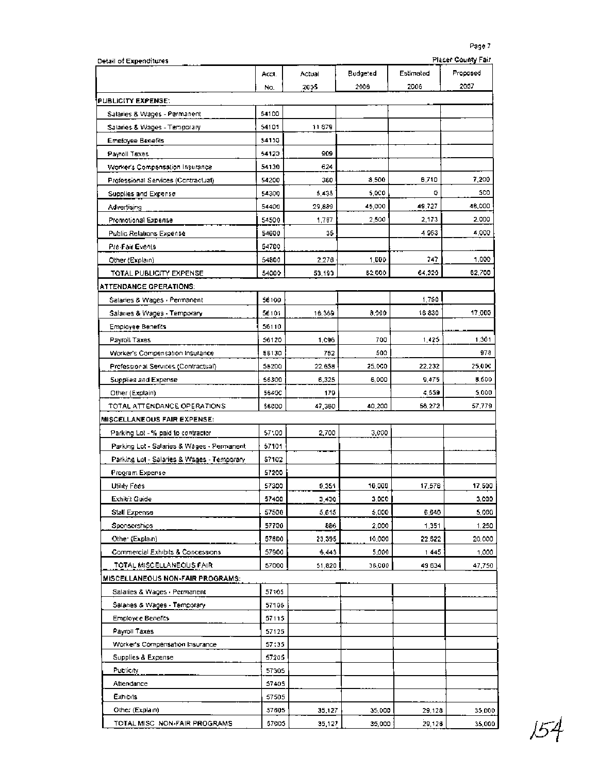| Detail of Expenditures                     |                |        |          |           | <b>Placer County Fair</b> |
|--------------------------------------------|----------------|--------|----------|-----------|---------------------------|
|                                            | Accl.          | Actual | Budgeted | Estimated | Proposed                  |
|                                            | No.            | 2005   | 2006     | 2006      | 2007                      |
| PUBLICITY EXPENSE:                         |                |        |          |           |                           |
| Salaries & Wages - Permanent               | 54100          |        |          |           |                           |
| Salaries & Wages - Temporary               | 54101          | 11879  |          |           |                           |
| <b>Emoloyee Benefits</b>                   | 54110          |        |          |           |                           |
| Payroll Taxes                              | 54123          | 909    |          |           |                           |
| Worker's Compensation Insurance            | 54130          | 624    |          |           |                           |
| Professional Services (Contractual)        | 54200          | 360    | 8,500    | 6,710     | 7,200                     |
| Supplies and Expense                       | 54300          | 5,435  | 5,000    | o         | 500                       |
| Advertising                                | 54400          | 29,889 | 45,000   | 49.727    | 48,000                    |
| Promotional Expense                        | 54500          | 1,787  | 2,500    | 2,173     | 2.000                     |
| Public Relations Expense                   | 54600          | 35     |          | 4963      | 4.000                     |
| Pre-Fair Events                            | 54700          |        |          |           |                           |
| Other (Explain)                            | 54800          | 2,276  | 1,000    | 747       | 1,000                     |
| TOTAL PUBLICITY EXPENSE                    | 54000          | 53,193 | 62,000   | 64,320    | 62,700                    |
| ATTENDANCE OPERATIONS:                     |                |        |          |           |                           |
| Salaries & Wages - Permanent               | 56100          |        |          | 1,750     |                           |
| Salaries & Wages - Temporary               | 56101          | 16,369 | 8,000    | 16830     | 17,000                    |
| Employee Benefits                          | 56110          |        |          |           |                           |
| Payroll Taxes                              | 56120          | 1,096  | 700      | 1,425     | 1,301                     |
| Worker's Compensation Insurance            | 56130          | 752    | 500      |           | 978                       |
| Professional Services (Contractual)        | 55200          | 22,658 | 25,000   | 22,232    | 25,00C                    |
| Supplies and Expense                       | 56300          | 6,325  | 6,000    | 9,475     | <b>B.SDO</b>              |
| Other (Explain)                            | 56400          | 179    |          | 4,559     | 5,000                     |
| TOTAL ATTENDANCE OPERATIONS                | 56000          | 47,380 | 40,200   | 56,272    | 57,779                    |
| MISCELLANEOUS FAIR EXPENSE:                |                |        |          |           |                           |
| Parking Lot - % paid to contractor         | 57100          | 2,700  | 3,000    |           |                           |
| Parking Lot - Salaries & Wages - Permanent | 57101          |        |          |           |                           |
| Parking Lot - Salaries & Wages - Temporary | 57102          |        |          |           |                           |
| Program Expense                            | 57200          |        |          |           |                           |
| Utility Fees                               | 57300          | 9,351  | 10,000   | 17.576    | 17,500                    |
| Exhibit Guide                              | 57400          | 3,430  | 3,000    |           | 3,000                     |
| Stall Expense                              | 57500          | 5,615  | 5,000    | 6,640     | 5,000                     |
| Sponsorships                               | 57700          | 886    | 2,000    | 1,351     | 1.250                     |
| Othe (Explain)                             | 57800          | 23,395 | 10,000   | 22.522    | 20.000                    |
| Commercial Exhibits & Concessions          | 57900          | 6,443  | 5,000    | 1445      | 1,000                     |
| TOTAL MISCELLANEOUS FAIR                   | 57000          | 51,820 | 36,000   | 49 634    | 47,750                    |
| MISCELLANEOUS NON-FAIR PROGRAMS:           |                |        |          |           |                           |
| Salaries & Wages - Permanent               | 57105          |        |          |           |                           |
| Salaries & Wages - Temporary               | 57106          |        |          |           |                           |
| <b>Employee Benefits</b>                   | 57115          |        |          |           |                           |
| Payroll Taxes                              | 57125          |        |          |           |                           |
| Worker's Compensation Insurance            |                |        |          |           |                           |
|                                            | 57135<br>57205 |        |          |           |                           |
| Supplies & Expense<br><b>Publicity</b>     |                |        |          |           |                           |
|                                            | 57305          |        |          |           |                           |
| Attendance<br>Exhibits                     | 57405          |        |          |           |                           |
|                                            | 57505          |        |          |           |                           |
| Other (Explain)                            | 57605          | 35,127 | 35,000   | 29,128    | 35,000                    |
| TOTAL MISC NON-FAIR PROGRAMS               | 57005          | 35,127 | 35,000   | 29,126    | 35,000                    |

154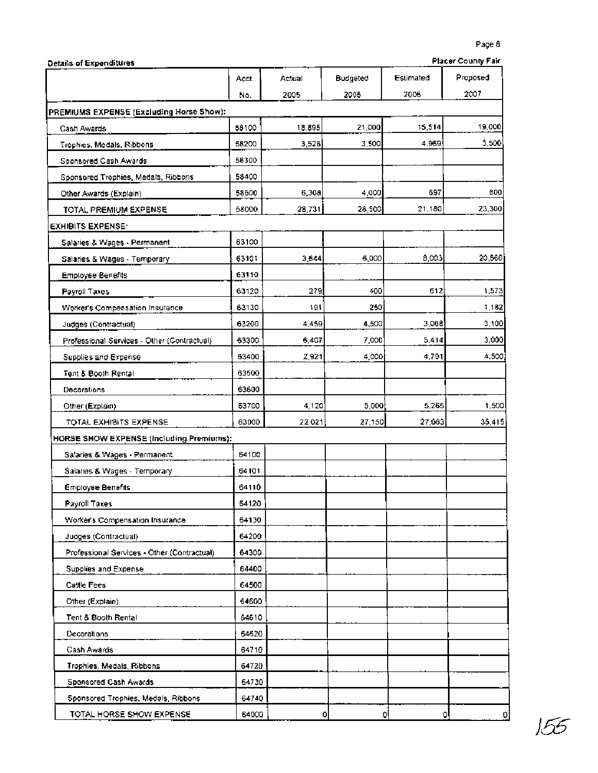| Placer County Fair<br>Details of Expenditures |       |        |          |           |          |
|-----------------------------------------------|-------|--------|----------|-----------|----------|
|                                               | Acct. | Actual | Budgeted | Estimated | Proposed |
|                                               | No.   | 2005   | 2006     | 2006      | 2007     |
| PREMIUMS EXPENSE (Excluding Horse Show):      |       |        |          |           |          |
| Cash Awards                                   | 58100 | 18.895 | 21,000   | 15,514    | 19,000   |
| Trophies, Medals, Ribbons                     | 58200 | 3,528  | 3.500    | 4.969     | 3,500    |
| Sponsored Cash Awards                         | 58300 |        |          |           |          |
| Sponsored Trophies, Medals, Ribbons           | 58400 |        |          |           |          |
| Other Awards (Explain)                        | 58500 | 6,308  | 4,000    | 697       | 800      |
| TOTAL PREMIUM EXPENSE                         | 58000 | 28,731 | 28,500   | 21,180    | 23,300   |
| <b>EXHIBITS EXPENSE:</b>                      |       |        |          |           |          |
| Salaries & Wages - Permanent                  | 63100 |        |          |           |          |
| Salaries & Wages - Temporary                  | 63101 | 3,644  | 6,000    | 8,003     | 20,560   |
| <b>Employee Benefits</b>                      | 63110 |        |          |           |          |
| Payroll Taxes                                 | 63120 | 279    | 400      | 612       | 1,573    |
| Worker's Compensation Insurance               | 63130 | 191    | 250      |           | 1,182    |
| Judges (Contractual)                          | 63200 | 4.459  | 4,500    | 3.068     | 3,100    |
| Professional Services - Other (Contractual)   | 63300 | 6,407  | 7.000    | 5.414     | 3,000    |
| Supplies and Expense                          | 63400 | 2.921  | 4,000    | 4,701     | 4,500    |
| Tent & Booth Rental                           | 63500 |        |          |           |          |
| Decorations                                   | 63600 |        |          |           |          |
| Other (Explain)                               | 63700 | 4,120  | 5,000    | 5,265     | 1,500    |
| TOTAL EXHIBITS EXPENSE                        | 63000 | 22.021 | 27,150   | 27,063    | 35,415   |
| HORSE SHOW EXPENSE (Including Premiums):      |       |        |          |           |          |
| Salaries & Wages - Permanent                  | 64100 |        |          |           |          |
| Salaries & Wages - Temporary                  | 64101 |        |          |           |          |
| <b>Employee Benefits</b>                      | 64110 |        |          |           |          |
| Payroll Taxes                                 | 64120 |        |          |           |          |
| Worker's Compensation Insurance               | 64130 |        |          |           |          |
| Judges (Contractual)                          | 64200 |        |          |           |          |
| Professional Services - Other (Contractual)   | 64300 |        |          |           |          |
| Supplies and Expense                          | 64400 |        |          |           |          |
| Cattle Fees                                   | 64500 |        |          |           |          |
| Other (Explain)                               | 64600 |        |          |           |          |
| Tent & Booth Rental                           | 64610 |        |          |           |          |
| Decorations                                   | 64620 |        |          |           |          |
| Cash Awards                                   | 64710 |        |          |           |          |
| Trophies, Medals, Ribbons                     | 64720 |        |          |           |          |
| Sponsored Cash Awards                         | 64730 |        |          |           |          |
| Sponsored Trophies, Medals, Ribbons           | 64740 |        |          |           |          |
| TOTAL HORSE SHOW EXPENSE                      | 64000 | Ō      |          | ٥İ<br>Q   | 0        |

155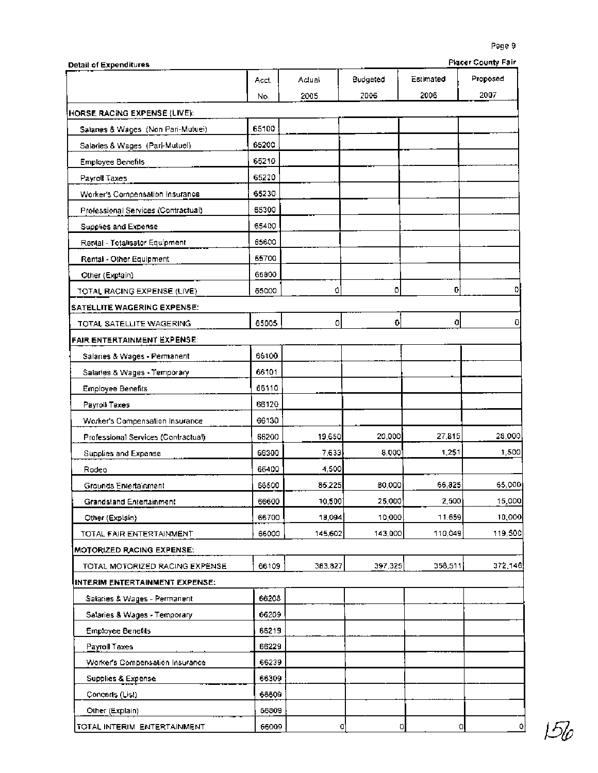| <b>Detail of Expenditures</b>       |       |         |          |           | <b>Placer County Fair</b> |
|-------------------------------------|-------|---------|----------|-----------|---------------------------|
|                                     | Acct. | Aclual  | Budgeted | Estimated | Proposed                  |
|                                     | No.   | 2005    | 2006     | 2006      | 2007                      |
| HORSE RACING EXPENSE (LIVE):        |       |         |          |           |                           |
| Salanes & Wages (Non Pari-Mutuei)   | 65100 |         |          |           |                           |
| Salaries & Wages (Pari-Mutuel)      | 65200 |         |          |           |                           |
| <b>Employee Benefils</b>            | 65210 |         |          |           |                           |
| Payroll Taxes                       | 65220 |         |          |           |                           |
| Worker's Compensation Insurance     | 65230 |         |          |           |                           |
| Professional Services (Contractual) | 65300 |         |          |           |                           |
| Supplies and Expense                | 65400 |         |          |           |                           |
| Rental - Totalisator Equipment      | 65600 |         |          |           |                           |
| Rental - Other Equipment            | 65700 |         |          |           |                           |
| Other (Explain)                     | 65800 |         |          |           |                           |
| TOTAL RACING EXPENSE (LIVE)         | 65000 | 0       | o        | 0         |                           |
| SATELLITE WAGERING EXPENSE:         |       |         |          |           |                           |
| TOTAL SATELLITE WAGERING            | 65005 | o       | ō        | ol        | Ů                         |
| <b>FAIR ENTERTAINMENT EXPENSE:</b>  |       |         |          |           |                           |
| Salaries & Wages - Permanent        | 66100 |         |          |           |                           |
| Salaries & Wages - Temporary        | 66101 |         |          |           |                           |
| <b>Employee Benefits</b>            | 66110 |         |          |           |                           |
| Payroll Taxes                       | 66120 |         |          |           |                           |
| Worker's Compensation Insurance     | 66130 |         |          |           |                           |
| Professional Services (Contractual) | 66200 | 19,650  | 20,000   | 27,815    | 28,000                    |
| Supplies and Expense                | 66300 | 7,633   | 8.000    | 1,251     | 1,500                     |
| Rodeo                               | 66400 | 4,500   |          |           |                           |
| Grounds Entertainment               | 66500 | 85,225  | 80,000   | 66,825    | 65,000                    |
| Grandstand Entertainment            | 66600 | 10,500  | 25,000   | 2,500     | 15,000                    |
| Other (Explain)                     | 66700 | 18,094  | 10,000   | 11,659    | 10,000                    |
| TOTAL FAIR ENTERTAINMENT            | 66000 | 145,602 | 143,000  | 110,049   | 119,500                   |
| <b>MOTORIZED RACING EXPENSE:</b>    |       |         |          |           |                           |
| TOTAL MOTORIZED RACING EXPENSE      | 66109 | 383,827 | 397,325  | 358,511   | 372,146                   |
| INTERIM ENTERTAINMENT EXPENSE:      |       |         |          |           |                           |
| Salaries & Wages - Permanent        | 66208 |         |          |           |                           |
| Salaries & Wages - Temporary        | 66209 |         |          |           |                           |
| <b>Employee Benefits</b>            | 66219 |         |          |           |                           |
| Payroll Taxes                       | 66229 |         |          |           |                           |
| Worker's Compensation Insurance     | 66239 |         |          |           |                           |
| Supplies & Expense                  | 66309 |         |          |           |                           |
| Concerts (List)                     | 66609 |         |          |           |                           |
| Other (Explain)                     | 66809 |         |          |           |                           |
| TOTAL INTERIM ENTERTAINMENT         | 66009 | 0       |          | 0<br>o    | 0                         |

 $156$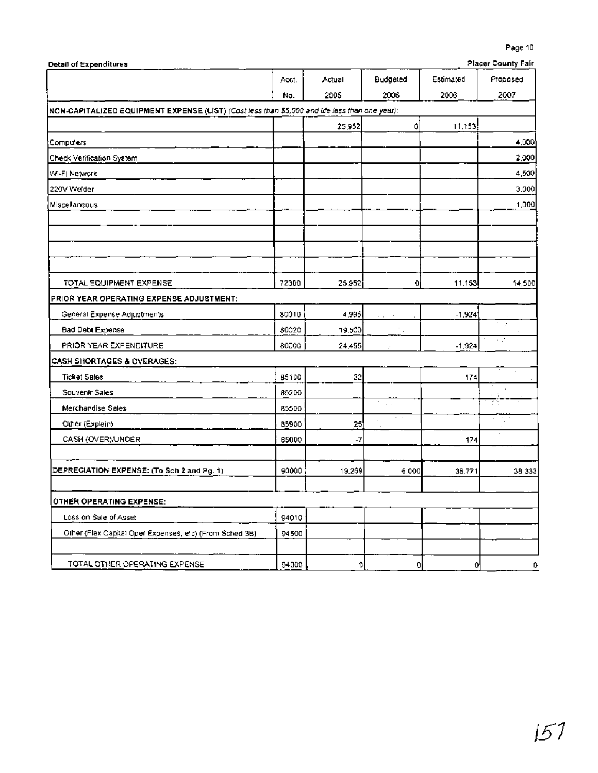| Detail of Expenditures                                                                         |       |        |          |           | Placer County Pair |
|------------------------------------------------------------------------------------------------|-------|--------|----------|-----------|--------------------|
|                                                                                                | Acct. | Actual | Budgeted | Estimated | Proposed           |
|                                                                                                | No.   | 2005   | 2006     | 2006      | 2007               |
| NON-CAPITALIZED EQUIPMENT EXPENSE (LIST) (Cost less than \$5,000 and life less than one year): |       |        |          |           |                    |
|                                                                                                |       | 25,952 | ٥        | 11,153    |                    |
| Computers                                                                                      |       |        |          |           | 4,000              |
| Check Verification System                                                                      |       |        |          |           | 2,000              |
| Wi-Fi Network                                                                                  |       |        |          |           | 4,500              |
| 220V Welder                                                                                    |       |        |          |           | 3,000              |
| Miscellaneous                                                                                  |       |        |          |           | 1,000              |
|                                                                                                |       |        |          |           |                    |
|                                                                                                |       |        |          |           |                    |
| TOTAL EQUIPMENT EXPENSE                                                                        | 72300 | 25.952 | 0I       | 11,153    | 14,500             |
| PRIOR YEAR OPERATING EXPENSE ADJUSTMENT:                                                       |       |        |          |           |                    |
| General Expense Adjustments                                                                    | 80010 | 4,995  | $\cdot$  | $-1,924$  |                    |
| <b>Bad Debt Expense</b>                                                                        | 80020 | 19.500 | К.       |           | $\cdot$            |
| PRIOR YEAR EXPENDITURE                                                                         | 80000 | 24,495 |          | $-1,924$  | чV                 |
| <b>CASH SHORTAGES &amp; OVERAGES:</b>                                                          |       |        |          |           |                    |
| <b>Ticket Sales</b>                                                                            | 85100 | $-32$  |          | 174       |                    |
| Souvenir Sales                                                                                 | 85200 |        |          |           |                    |
| Merchandise Sales                                                                              | 85500 |        | Ŧ.,      |           |                    |
| Other (Explain)                                                                                | 85900 | 25     |          |           |                    |
| CASH (OVER)/UNDER                                                                              | 65000 | -7     |          | 174       |                    |
| DEPRECIATION EXPENSE: (To Sch 2 and Pg. 1)                                                     | 90000 | 19,269 | 6,000    | 36,771    | 38,333             |
| <b>OTHER OPERATING EXPENSE:</b>                                                                |       |        |          |           |                    |
| Loss on Sale of Asset                                                                          | 94010 |        |          |           |                    |
| Olber (Flex Capital Oper Expenses, etc) (From Sched 3B)                                        | 94500 |        |          |           |                    |
| TOTAL OTHER OPERATING EXPENSE                                                                  | 94000 | 0.     | 0        | ٥I        | 0                  |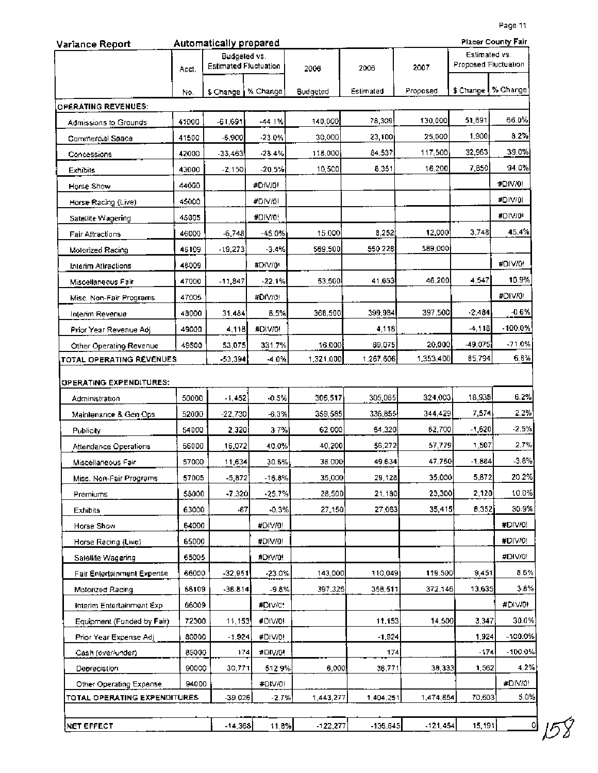| Variance Report              |       | Automatically prepared                |          |            |            |            |                                       | Placer County Fair   |
|------------------------------|-------|---------------------------------------|----------|------------|------------|------------|---------------------------------------|----------------------|
|                              | Acct. | Budgeted vs.<br>Estimated Fluctuation |          | 2006       | 2006       | 2007       | Estimated vs.<br>Proposed Fluctuation |                      |
|                              | No.   | \$ Change                             | % Change | Budgeted   | Estimated  | Proposed   |                                       | \$ Change   % Change |
| <b>OPERATING REVENUES:</b>   |       |                                       |          |            |            |            |                                       |                      |
| Admissions to Grounds        | 41000 | -61,691                               | $-44.1%$ | 140,000    | 78,309     | 130,000    | 51,691                                | 66.0%                |
| Commercial Space             | 41500 | $-6,900$                              | $-23.0%$ | 30,000     | 23,100     | 25,000     | 1,900                                 | 8.2%                 |
| Concessions                  | 42000 | $-33,463$                             | $-28.4%$ | 118,000    | 84.537     | 117,500    | 32,963                                | 39.0%                |
| Exhibits                     | 43000 | $-2,150$                              | $-20.5%$ | 10,500     | 8,351      | 16,200     | 7,850                                 | 94.0%                |
| Horse Show                   | 44000 |                                       | #DIV/0!  |            |            |            |                                       | #DIV/0!              |
| Horse Racing (Live)          | 45000 |                                       | #DIV/0!  |            |            |            |                                       | #DIV/01              |
| Satellite Wagering           | 45005 |                                       | #DIV/0!  |            |            |            |                                       | #DIV/0"              |
| Fair Attractions             | 46000 | $-6,748$                              | -45.0%   | 15.000     | 8,252      | 12,000     | 3,748                                 | 45.4%                |
| Motorized Racing             | 46109 | $-19,273$                             | $-3.4%$  | 569,500    | 550 228    | 589,000    |                                       |                      |
| Interim Attractions          | 46009 |                                       | #DIV/0*  |            |            |            |                                       | #DIV/0!              |
| Miscellaneous Fair           | 47000 | $-11,847$                             | -22.1%   | 53,500     | 41,653     | 46.200     | 4,547                                 | 10.9%                |
| Misc. Non-Fair Programs      | 47005 |                                       | #DIV/0!  |            |            |            |                                       | #DIV/0!              |
| Interim Revenue              | 48000 | 31,484                                | 8.5%     | 368,500    | 399,984    | 397,500    | $-2,484$                              | $-0.6%$              |
| Prior Year Revenue Adj.      | 49000 | 4,118                                 | #DIV/0!  |            | 4,118      |            | $-4,118$                              | $-100.0%$            |
| Other Operating Revenue      | 49500 | 53,075                                | 331.7%   | 16,000     | 69,075     | 20,000     | $-49.075$                             | $-71.0%$             |
| TOTAL OPERATING REVENUES     |       | -53,394                               | $-4.0%$  | 1,321,000  | 1,267,606  | 1,353,400  | 85,794                                | 6.6%                 |
| OPERATING EXPENDITURES:      |       |                                       |          |            |            |            |                                       |                      |
| Administration               | 50000 | $-1,452$                              | $-0.5%$  | 306,517    | 305,065    | 324,003    | 18,938                                | 6.2%                 |
| Mainlenance & Gen Ops        | 52000 | $-22,730$                             | $-6.3%$  | 359,585    | 336,855    | 344,429    | 7,574                                 | 2.2%                 |
| Publicity                    | 54000 | 2,320                                 | 37%      | 62.000     | 64,320     | 62,700     | $-1,620$                              | $-2.5%$              |
| Attendance Operations        | 56000 | 16,072                                | 40.0%    | 40,200     | 56,272     | 57,779     | 1,507                                 | 2.7%                 |
| Miscellaneous Fair           | 57000 | 11,634                                | 30.6%    | 38.000     | 49.634     | 47,750     | $-1,884$                              | $-3.8%$              |
| Misc. Non-Fair Programs      | 57005 | $-5,872$                              | $-16.8%$ | 35,000     | 29,128     | 35,000     | 5,872                                 | 20.2%                |
| Premiums                     | 58000 | $-7,320$                              | $-25.7%$ | 28,50D     | 21,180     | 23,300     | 2,120                                 | 10.0%                |
| <b>Exhibits</b>              | 63000 | -87                                   | $-0.3%$  | 27,150     | 27,063     | 35,415     | 8,352                                 | 30.9%                |
| Horse Show                   | 64000 |                                       | #DIV/0!  |            |            |            |                                       | #DIV/0!              |
| Horse Racing (Live)          | 65000 |                                       | #DIVIO!  |            |            |            |                                       | #DIV/0!              |
| Satellite Wagering           | 65005 |                                       | #DIV/0!  |            |            |            |                                       | #DIV/0!              |
| Fair Entertainment Expense   | 66000 | $-32,951$                             | $-23.0%$ | 143,000    | 110,049    | 119.500    | 9,451                                 | 8.6%                 |
| Motorized Racing             | 66109 | $-38.814$                             | $-9.8%$  | 397,325    | 358,511    | 372,146    | 13,635                                | 3.8%                 |
| Interim Entertainment Exp.   | 66009 |                                       | #DIV/C!  |            |            |            |                                       | #DIVI0!              |
| Equipment (Funded by Fair)   | 72300 | 11,153                                | #DIV/0!  |            | 11,153     | 14,500     | 3,347                                 | 30.0%                |
| Prior Year Expense Adj       | 80000 | $-1,924$                              | #DIV/D!  |            | $-1,924$   |            | 1,924                                 | $-100.0%$            |
| Cash (over/under)            | 85000 | 174                                   | #DIV/0!  |            | 174        |            | -174                                  | $-100.0\%$           |
| Depreciation                 | 90000 | 30,771                                | 5129%    | 6,000      | 36,771     | 38,333     | 1,562                                 | 4.2%                 |
| Other Operating Expense      | 94000 |                                       | #DIV/0!  |            |            |            |                                       | #DIV/0!              |
| TOTAL OPERATING EXPENDITURES |       | -39.026                               | $-2.7%$  | 1,443,277  | 1,404,251  | 1,474,854  | 70,603                                | 5.0%                 |
|                              |       |                                       |          |            |            |            |                                       |                      |
| <b>NET EFFECT</b>            |       | $-14.368$                             | 11.8%    | $-122,277$ | $-136,645$ | $-121,454$ | 15,191                                | ٥                    |

Юδ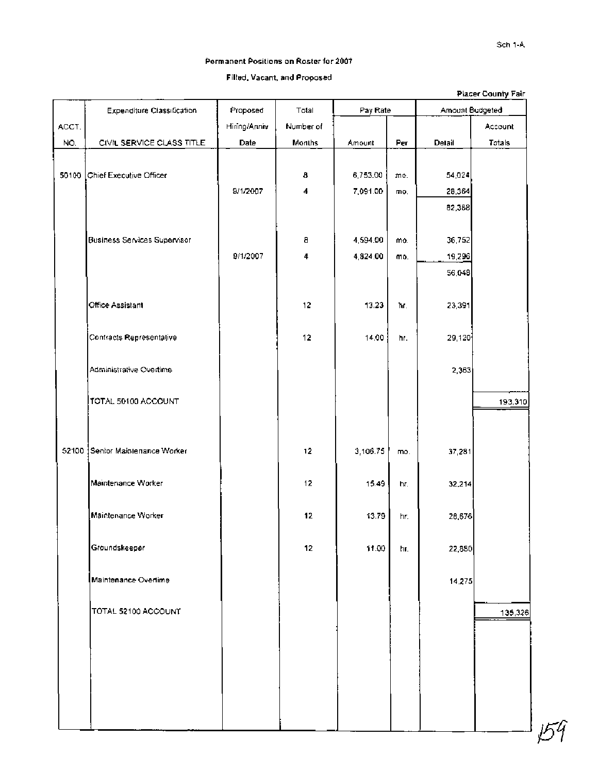#### Permanent Positions on Roster for 2007

## Filled, Vacant, and Proposed

|       |                                   |              |           |          |     |                 | Placer County Fair |
|-------|-----------------------------------|--------------|-----------|----------|-----|-----------------|--------------------|
|       | <b>Expenditure Classification</b> | Proposed     | Total     | Pay Rate |     | Amount Budgeted |                    |
| ACCT. |                                   | Hiring/Anniv | Number of |          |     |                 | Account            |
| NO.   | CIVIL SERVICE CLASS TITLE         | Date         | Months    | Amount   | Per | Detail          | Totals             |
|       |                                   |              |           |          |     |                 |                    |
| 50100 | Chief Executive Officer           |              | 8         | 6,753.00 | mo. | 54,024          |                    |
|       |                                   | 9/1/2007     | 4         | 7,091.00 | mo, | 28,364          |                    |
|       |                                   |              |           |          |     | 82,388          |                    |
|       |                                   |              |           |          |     |                 |                    |
|       | Business Services Supervisor      |              | 8         | 4,594.00 | mo. | 36,752          |                    |
|       |                                   | 9/1/2007     | 4         | 4,824.00 | mo. | 19,296          |                    |
|       |                                   |              |           |          |     | 56,048          |                    |
|       |                                   |              |           |          |     |                 |                    |
|       | Office Assistant                  |              | 12        | 13.23    | ħr. | 23,391          |                    |
|       |                                   |              |           |          |     |                 |                    |
|       | Contracts Representative          |              | 12        | 14:00    | hr. | 29,120          |                    |
|       |                                   |              |           |          |     |                 |                    |
|       |                                   |              |           |          |     |                 |                    |
|       | Administrative Overtime           |              |           |          |     | 2,363           |                    |
|       |                                   |              |           |          |     |                 |                    |
|       | TOTAL 50100 ACCOUNT               |              |           |          |     |                 | 193,310            |
|       |                                   |              |           |          |     |                 |                    |
|       |                                   |              |           |          |     |                 |                    |
| 52100 | Senior Maintenance Worker         |              | 12        | 3,106.75 | mo. | 37,281          |                    |
|       |                                   |              |           |          |     |                 |                    |
|       | Maintenance Worker                |              | 12        | 15.49    | hr. | 32,214          |                    |
|       |                                   |              |           |          |     |                 |                    |
|       | Maintenance Worker                |              | 12        | 13.79    | hr. | 26,676          |                    |
|       |                                   |              |           |          |     |                 |                    |
|       | Groundskeeper                     |              | 12        | 11.00    | hr. | 22,880          |                    |
|       |                                   |              |           |          |     |                 |                    |
|       | Maintenance Overlime              |              |           |          |     | 14.275          |                    |
|       |                                   |              |           |          |     |                 |                    |
|       | TOTAL 52100 ACCOUNT               |              |           |          |     |                 | 135,326            |
|       |                                   |              |           |          |     |                 |                    |
|       |                                   |              |           |          |     |                 |                    |
|       |                                   |              |           |          |     |                 |                    |
|       |                                   |              |           |          |     |                 |                    |
|       |                                   |              |           |          |     |                 |                    |
|       |                                   |              |           |          |     |                 |                    |
|       |                                   |              |           |          |     |                 |                    |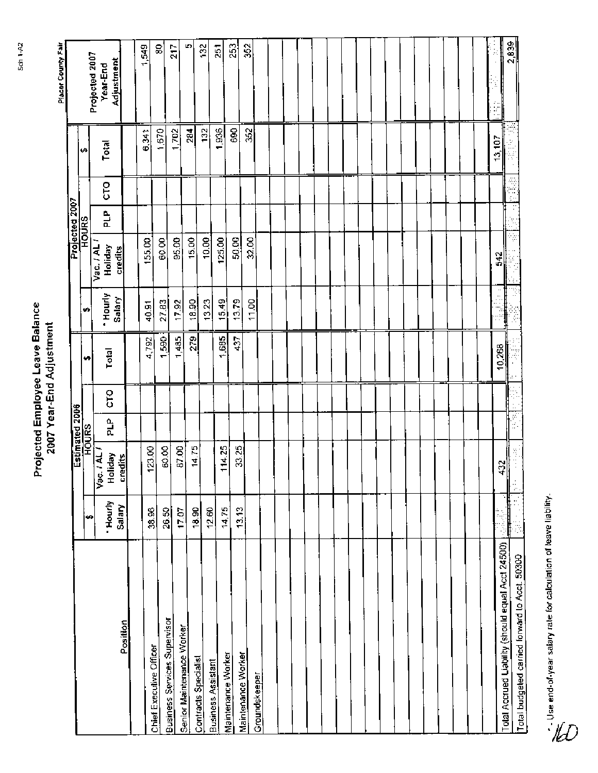|                                                   |                   |                              | Estimated 2006 |    |           |         |                      | Projected 2007 |   |        |                    |
|---------------------------------------------------|-------------------|------------------------------|----------------|----|-----------|---------|----------------------|----------------|---|--------|--------------------|
|                                                   | ø                 |                              | <b>HOURS</b>   |    | ÷.        | ÷       |                      | <b>HOURS</b>   |   | ŧ۵     | Projected 2007     |
|                                                   | * Hourly          | $5.1$ AL $I$<br>Holiday<br>š | a,<br>R        | ξo | Total     | 'Hourly | Vac. / AL<br>Holiday | 읍              | ξ | Total  | Year-End           |
| Position                                          | Salary            | <u>credits</u>               |                |    |           | Salary  | credits              |                |   |        | Adjust <u>ment</u> |
|                                                   |                   |                              |                |    |           |         |                      |                |   |        |                    |
| Chief Executive Officer                           | 38.96             | 123.00                       |                |    | 4,792     | 40.91   | 155.00               |                |   | 6,341  | 1,549              |
| <b>Business Services Supervisor</b>               | 26.50             | 60.00                        |                |    | 1,590     | 27.83   | 60.00                |                |   | 1.670  | 8                  |
| Senior Maintenance Worker                         | 17.07             | 87.00                        |                |    | 485<br>÷  | 17.92   | $\frac{85.00}{ }$    |                |   | 1,702  | 217                |
|                                                   | 18.90             | 14.75                        |                |    | 279       | 18.90   | 15.00                |                |   | 284    | ю                  |
| Contracts Specialist                              | 12.60             |                              |                |    |           | 13.23   | 10.00                |                |   | 132    | 132                |
| Maintenance Worker<br><b>Business Assistant</b>   | 14,75             | 114.25                       |                |    | ,685<br>↽ | 15.49   | 125.00               |                |   | 1,936  | 251                |
|                                                   | $\frac{13.13}{2}$ | 33.25                        |                |    | 437       | 13.79   | 50.00                |                |   | 690    | $\frac{253}{25}$   |
| Maintenance Worker                                |                   |                              |                |    |           | 11.00   | 32.00                |                |   | 352    | 352                |
| Groundskeeper                                     |                   |                              |                |    |           |         |                      |                |   |        |                    |
|                                                   |                   |                              |                |    |           |         |                      |                |   |        |                    |
|                                                   |                   |                              |                |    |           |         |                      |                |   |        |                    |
|                                                   |                   |                              |                |    |           |         |                      |                |   |        |                    |
|                                                   |                   |                              |                |    |           |         |                      |                |   |        |                    |
|                                                   |                   |                              |                |    |           |         |                      |                |   |        |                    |
|                                                   |                   |                              |                |    |           |         |                      |                |   |        |                    |
|                                                   |                   |                              |                |    |           |         |                      |                |   |        |                    |
|                                                   |                   |                              |                |    |           |         |                      |                |   |        |                    |
|                                                   |                   |                              |                |    |           |         |                      |                |   |        |                    |
|                                                   |                   |                              |                |    |           |         |                      |                |   |        |                    |
|                                                   |                   |                              |                |    |           |         |                      |                |   |        |                    |
|                                                   |                   |                              |                |    |           |         |                      |                |   |        |                    |
|                                                   |                   |                              |                |    |           |         |                      |                |   |        |                    |
|                                                   |                   |                              |                |    |           |         |                      |                |   |        |                    |
|                                                   |                   |                              |                |    |           |         |                      |                |   |        |                    |
|                                                   |                   |                              |                |    |           |         |                      |                |   |        |                    |
| Total Accrued Liability (should equal Acct 24500) |                   | 432                          |                |    | 10,268    |         | 542                  |                |   | 13,107 |                    |
|                                                   |                   | ă<br>ţ.                      | ŗ.             |    |           |         |                      | F              | ã |        | 2,839              |
| Total budgeted carried forward to Acct. 50300     |                   |                              |                |    |           |         |                      |                |   |        |                    |

Jee end-of-year salary rate for calculation of leave liability.<br>Co



Placer County Fair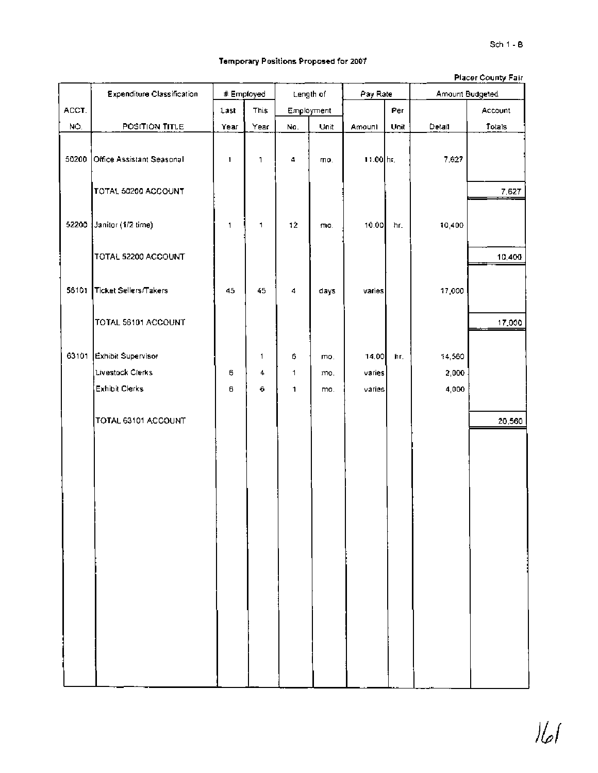### **Temporary Positions Proposed for 2007**

|       |                            |      |            |            |      |           |      |                 | <b>Placer County Fair</b> |
|-------|----------------------------|------|------------|------------|------|-----------|------|-----------------|---------------------------|
|       | Expenditure Classification |      | # Employed | Length of  |      | Pay Rate  |      | Amount Budgeted |                           |
| ACCT. |                            | Last | This       | Employment |      |           | Per  |                 | Account                   |
| NO.   | POSITION TITLE             | Year | Year       | No.        | Unit | Amount    | Unit | Detail          | Totals                    |
| 50200 | Office Assistant Seasonal  | 1    | 1          | 4          | mo.  | 11.00 hr. |      | 7,627           |                           |
|       | TOTAL 50200 ACCOUNT        |      |            |            |      |           |      |                 | 7,627                     |
| 52200 | Janitor (1/2 time)         | 1    | 1          | 12         | mo.  | 10.00     | hr.  | 10,400          |                           |
|       | TOTAL 52200 ACCOUNT        |      |            |            |      |           |      |                 | 10,400                    |
| 56101 | Ticket Sellers/Takers      | 45   | 45         | 4          | days | varies    |      | 17,000          |                           |
|       | TOTAL 56101 ACCOUNT        |      |            |            |      |           |      |                 | 17,000                    |
| 63101 | Exhibit Supervisor         |      | 1          | 6          | mo.  | 14.00     | ħг,  | 14,560          |                           |
|       | Livestock Clerks           | 6    | 4          | 1          | mo,  | varies    |      | 2,000           |                           |
|       | Exhibit Clerks             | 6    | 6          | 1          | mo.  | varies    |      | 4,000           |                           |
|       | TOTAL 63101 ACCOUNT        |      |            |            |      |           |      |                 | 20,560                    |
|       |                            |      |            |            |      |           |      |                 |                           |
|       |                            |      |            |            |      |           |      |                 |                           |
|       |                            |      |            |            |      |           |      |                 |                           |
|       |                            |      |            |            |      |           |      |                 |                           |
|       |                            |      |            |            |      |           |      |                 |                           |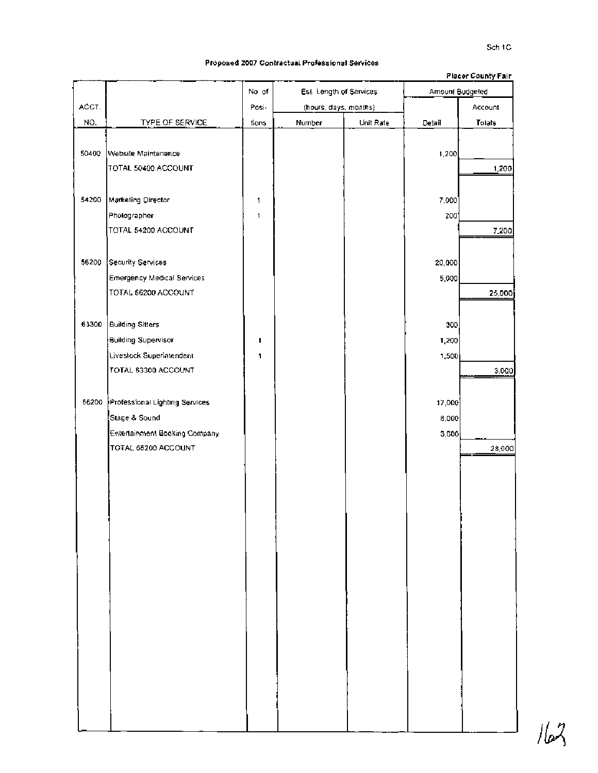# **Proposed 2007 Contractual Professional Services**

|       |                                |       |                         |           |                 | <b>Placer County Fair</b> |
|-------|--------------------------------|-------|-------------------------|-----------|-----------------|---------------------------|
|       |                                | No of | Est. Length of Services |           | Amount Budgeted |                           |
| ACCT. |                                | Posi- | (hours, days, months)   |           |                 | Account                   |
| NO.   | TYPE OF SERVICE                | tions | Number                  | Unit Rate | Detail          | Totals                    |
|       |                                |       |                         |           |                 |                           |
| 50400 | Website Maintenance            |       |                         |           | 1,200           |                           |
|       | TOTAL 50400 ACCOUNT            |       |                         |           |                 | 1,200                     |
|       |                                |       |                         |           |                 |                           |
| 54200 | Marketing Director             | 1     |                         |           | 7,000           |                           |
|       | Photographer                   | 1     |                         |           | 200             |                           |
|       | TOTAL 54200 ACCOUNT            |       |                         |           |                 | 7,200                     |
|       |                                |       |                         |           |                 |                           |
| 56200 | Security Services              |       |                         |           | 20,000          |                           |
|       | Emergency Medical Services     |       |                         |           | 5,000           |                           |
|       | TOTAL 56200 ACCOUNT            |       |                         |           |                 | 25,000                    |
|       |                                |       |                         |           |                 |                           |
| 63300 |                                |       |                         |           |                 |                           |
|       | Building Sitters               |       |                         |           | 300             |                           |
|       | Building Supervisor            | 1     |                         |           | 1,200           |                           |
|       | Livestock Superintendent       | 1     |                         |           | 1,500           |                           |
|       | TOTAL 63300 ACCOUNT            |       |                         |           |                 | 3,000                     |
|       |                                |       |                         |           |                 |                           |
| 66200 | Professional Lighting Services |       |                         |           | 17,000          |                           |
|       | Slage & Sound                  |       |                         |           | 8,000           |                           |
|       | Entertainment Booking Company  |       |                         |           | 3,000           |                           |
|       | TOTAL 66200 ACCOUNT            |       |                         |           |                 | 28,000                    |
|       |                                |       |                         |           |                 |                           |
|       |                                |       |                         |           |                 |                           |
|       |                                |       |                         |           |                 |                           |
|       |                                |       |                         |           |                 |                           |
|       |                                |       |                         |           |                 |                           |
|       |                                |       |                         |           |                 |                           |
|       |                                |       |                         |           |                 |                           |
|       |                                |       |                         |           |                 |                           |
|       |                                |       |                         |           |                 |                           |
|       |                                |       |                         |           |                 |                           |
|       |                                |       |                         |           |                 |                           |
|       |                                |       |                         |           |                 |                           |
|       |                                |       |                         |           |                 |                           |
|       |                                |       |                         |           |                 |                           |
|       |                                |       |                         |           |                 |                           |
|       |                                |       |                         |           |                 |                           |
|       |                                |       |                         |           |                 |                           |
|       |                                |       |                         |           |                 |                           |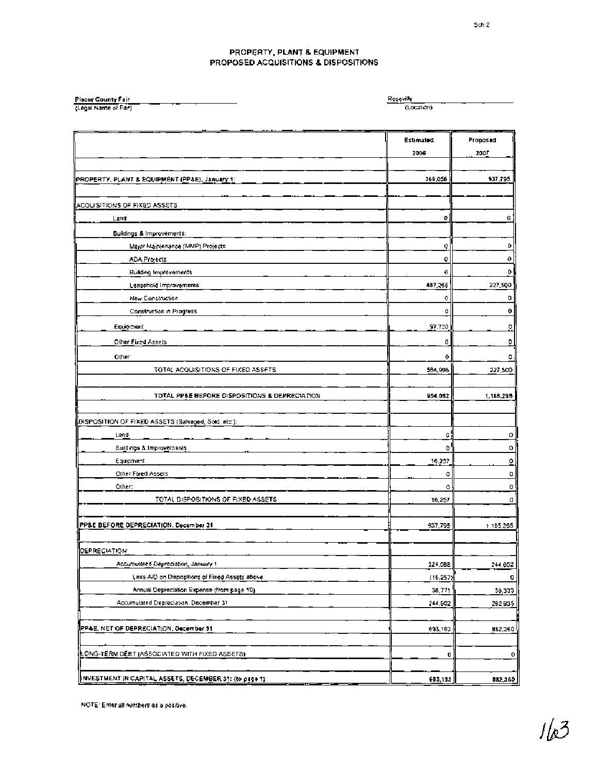#### **PROPERTY, PLANT 8 EQUIPMENT PROPOSED ACQUISITIONS 8 DISPOSITIONS**

| Placer County Fair    | Roseville  |
|-----------------------|------------|
| (Legal Name of Fair). | (Location) |

|                                                             | Estimated<br>2006 | Proposed<br>2007        |
|-------------------------------------------------------------|-------------------|-------------------------|
|                                                             |                   |                         |
| PROPERTY, PLANT & EQUIPMENT (PP&E), January 1:              | 369,056           | 937,795                 |
|                                                             |                   |                         |
| <b>LACQUISITIONS OF FIXED ASSETS</b>                        |                   |                         |
| Land                                                        | ٥                 | 0                       |
| Buildings & Improvements:                                   |                   |                         |
| Major Maintenance (MMP) Projects                            | Q                 | D                       |
| <b>ADA Projects</b>                                         | û                 | 0                       |
| Building Improvements                                       | O                 | ۰                       |
| Leasehold Improvements                                      | 487,266           | 227,500                 |
| <b>New Construction</b>                                     | ۰                 | o                       |
| Construction in Progress                                    | ٥                 | 0                       |
| Equipment                                                   | 97,730            | $\overline{\mathbf{0}}$ |
|                                                             |                   |                         |
| Other Fixed Assets                                          | 0                 | ٥                       |
| Other:                                                      | 0                 | ۰                       |
| TOTAL ACQUISITIONS OF FIXED ASSETS                          | 584,996           | 227,500                 |
| TOTAL PP&E BEFORE DISPOSITIONS & DEPRECIATION               | 954,052           | 1.165,295               |
|                                                             |                   |                         |
| DISPOSI <u>TION OF FIXED ASSETS (Salvaged, Sold, etc.):</u> |                   |                         |
| Land                                                        | c                 | o                       |
| Suidings & Improvements                                     | ٥                 | ٥                       |
| Equipment                                                   | 16.257            | $\overline{Q}$          |
| Other Fixed Assets                                          | ٥                 | O                       |
| Other:                                                      | a                 | Đ                       |
| TOTAL DISPOSITIONS OF FIXED ASSETS                          | 16,257            | o                       |
|                                                             |                   |                         |
| PP&E BEFORE DEPRECIATION, December 31                       | 937,795           | 1.165.295               |
|                                                             |                   |                         |
| <b>DEPRECIATION</b>                                         |                   |                         |
| Accumulated Depreciation, January 1                         | 224,088           | 244,602                 |
| Less A/D on Dispositions of Fixed Assets above              | (16, 257)         | G                       |
| Annual Depreciation Expense (from page 10)                  | 36.771            | 38,333                  |
| Accumulated Depreciation, December 31                       | 244.602           | 282,935                 |
| PP&E, NET OF DEPRECIATION, December 31                      |                   |                         |
|                                                             | 693,193           | 882,360                 |
| <u>ONG</u> -TERM DEBT (ASSOCIATED WITH FIXED ASSETS).       | 0                 | o                       |
|                                                             |                   |                         |
| INVESTMENT IN CAPITAL ASSETS, DECEMBER 31: (to page 1).     | 693,193           | 582,360                 |

**NOTE: Enter all numbers as a positive**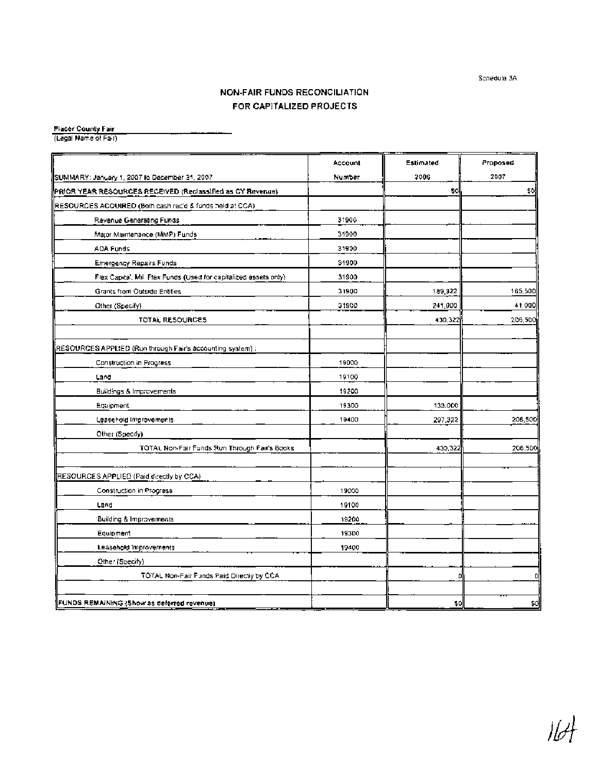**Schedule 3A** 

# **NON-FAIR FUNDS RECONCILIATION FOR CAPITALIZED PROJECTS**

**Placer County Fair** 

**(Legal Name of Fair)** 

|                                                                   | Account        | Estimated | Proposed |
|-------------------------------------------------------------------|----------------|-----------|----------|
| SUMMARY: January 1, 2007 to December 31, 2007                     | Number         | 2006      | 2007     |
| PRIOR YEAR RESOURCES RECEIVED (Reclassified as CY Revenue).       |                | \$C       | \$0      |
| RESOURCES ACQUIRED (Both cash rec'd & funds held at CCA)          |                |           |          |
| Revenue Generating Funds                                          | 31900          |           |          |
| Major Maintenance (MMP) Funds                                     | 31900          |           |          |
| ADA Funds                                                         | 31900          |           |          |
| <b>Emergency Repairs Funds</b>                                    | 31900          |           |          |
| Flex Capital, Mill Flex Funds (Used for capitalized assets only). | 31900          |           |          |
| Grants from Outside Entities                                      | 31900          | 189,322   | 165,500  |
| Other (Specify)                                                   | 31900          | 241,000   | 41,000   |
| TOTAL RESOURCES                                                   |                | 430,322   | 206,500  |
|                                                                   |                |           |          |
| RESOURCES APPLIED (Run through Fair's accounting system) :        |                |           |          |
| Construction in Progress                                          | 19000          |           |          |
| Land                                                              | 19100          |           |          |
| <b>Buildings &amp; Improvements</b>                               | 19200          |           |          |
| Equipment                                                         | 19300<br>19400 | 133,000   | 206,500  |
| Leasehold Improvements<br>Other (Specify)                         |                | 297,322   |          |
| TOTAL Non-Fair Funds Run Through Fair's Books                     |                | 433,322   | 206,500  |
| RESOURCES APPLIED (Paid directly by CCA)                          |                |           |          |
| Construction in Progress                                          | 19000          |           |          |
| Land                                                              | 19100          |           |          |
| <b>Building &amp; Improvements</b>                                | 19200          |           |          |
| Equipment                                                         | 19300          |           |          |
| Leasehold Improvements                                            | 19400          |           |          |
| Other (Specify)                                                   |                |           |          |
| TOTAL Non-Fair Funds Paid Directly by CCA                         |                | n         | ¢        |
|                                                                   |                |           |          |
| FUNDS REMAINING (Show as deferred revenue).                       |                | \$0       | \$0      |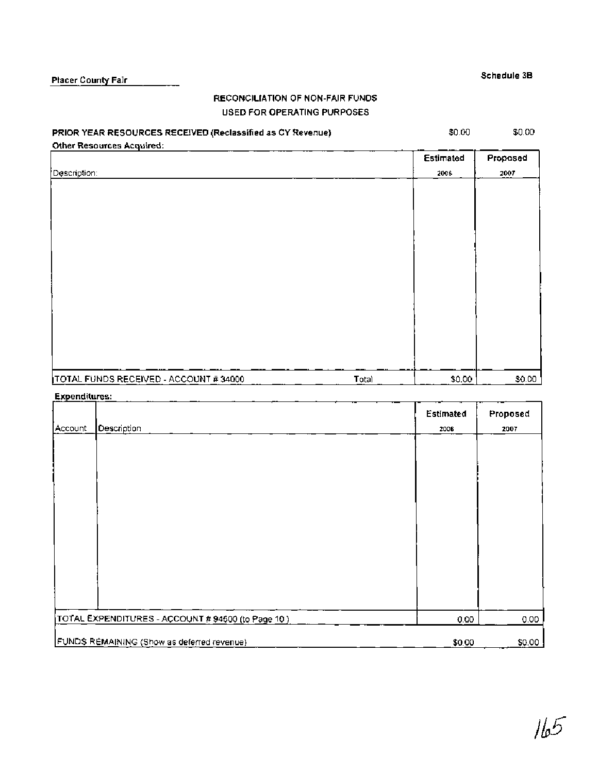# **RECONCILIATION OF NON-FAIR FUNDS USED FOR OPERATING PURPOSES**

## **PRIOR YEAR RESOURCES RECEIVED (Reclassified as CY Revenue)**

\$0.00

**Proposed 2007** 

**Estimated 2006** 

\$0.00

| <b>Other Resources Acquired:</b> |  |
|----------------------------------|--|
| Description:                     |  |
|                                  |  |
|                                  |  |
|                                  |  |

| TOTAL FUNDS RECEIVED - ACCOUNT # 34000 | Total |  |
|----------------------------------------|-------|--|

#### **Expenditures:**

|         |                                                    | Estimated | Proposed |
|---------|----------------------------------------------------|-----------|----------|
| Account | Description                                        | 2006      | 2007     |
|         |                                                    |           |          |
|         |                                                    |           |          |
|         |                                                    |           |          |
|         |                                                    |           |          |
|         |                                                    |           |          |
|         |                                                    |           |          |
|         |                                                    |           |          |
|         |                                                    |           |          |
|         |                                                    |           |          |
|         |                                                    |           |          |
|         |                                                    |           |          |
|         |                                                    |           |          |
|         | TOTAL EXPENDITURES - ACCOUNT # 94500 (to Page 10 ) | 0.00      | 0.00     |
|         |                                                    |           | \$0.00   |
|         | FUNDS REMAINING (Show as deferred revenue)         | \$0.00    |          |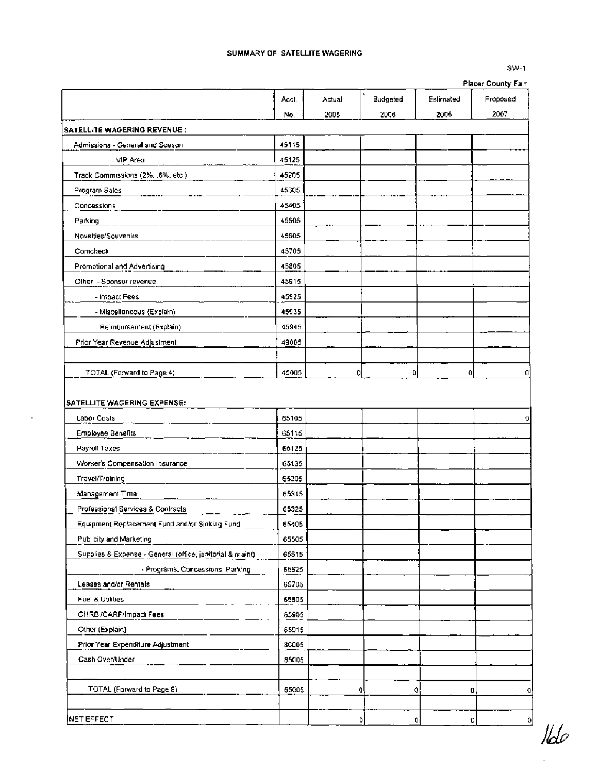#### SUMMARY OF SATELLITE WAGERING

#### SW-1

|                                                            |       |        |          |           | <b>Placer County Fair</b> |
|------------------------------------------------------------|-------|--------|----------|-----------|---------------------------|
|                                                            | Acct. | Actual | Budgeted | Estimated | Proposed                  |
|                                                            | No.   | 2005   | 2006     | 2006      | 2007                      |
| SATELLITE WAGERING REVENUE :                               |       |        |          |           |                           |
| Admissions - General and Season                            | 45115 |        |          |           |                           |
| - VIP Area                                                 | 45125 |        |          |           |                           |
| Track Commissions (2%, .6%, etc.)                          | 45205 |        |          |           |                           |
| Program Sales                                              | 45305 |        |          |           |                           |
| Concessions                                                | 45405 |        |          |           |                           |
| Parking                                                    | 45505 |        |          |           |                           |
| Novelties/Souvenirs                                        | 45605 |        |          |           |                           |
| Comcheck                                                   | 45705 |        |          |           |                           |
| Promotional and Advertising                                | 45805 |        |          |           |                           |
| Other - Sponsor revenue                                    | 45915 |        |          |           |                           |
| - Impact Fees                                              | 45925 |        |          |           |                           |
| - Miscellaneous (Explain)                                  | 45935 |        |          |           |                           |
| - Reimbursement (Explain)                                  | 45945 |        |          |           |                           |
| Prior Year Revenue Adjustment                              | 49005 |        |          |           |                           |
|                                                            |       |        |          |           |                           |
| TOTAL (Forward to Page 4)                                  | 45005 |        | 0        | O         | o<br>O                    |
| SATELLITE WAGERING EXPENSE:<br>Labor Costs                 | 65105 |        |          |           |                           |
|                                                            |       |        |          |           |                           |
| <b>Employee Benefits</b>                                   | 65115 |        |          |           |                           |
| Payroll Taxes                                              | 65125 |        |          |           |                           |
| Worker's Compensation Insurance                            | 65135 |        |          |           |                           |
| Travel/Training                                            | 65205 |        |          |           |                           |
| Management Time                                            | 65315 |        |          |           |                           |
| Professional Services & Contracts                          | 65325 |        |          |           |                           |
| Equipment Replacement Fund and/or Sinking Fund             | 65405 |        |          |           |                           |
| Publicity and Marketing                                    | 65505 |        |          |           |                           |
| Supplies & Expense - General (office, janitorial & maint). | 65615 |        |          |           |                           |
| - Programs, Concessions, Parking                           | 65625 |        |          |           |                           |
| Leases and/or Rentals                                      | 65705 |        |          |           |                           |
| Fuel & Utilities                                           | 65805 |        |          |           |                           |
| CHRB /CARF/Impact Fees                                     | 65905 |        |          |           |                           |
| Other (Explain)                                            | 65915 |        |          |           |                           |
| Prior Year Expenditure Adjustment                          | 80005 |        |          |           |                           |
| Cash Over/Under                                            | 85005 |        |          |           |                           |
|                                                            |       |        |          |           |                           |
| TOTAL (Forward to Page 9)                                  | 65005 |        | O        | o         | Q<br>o                    |
|                                                            |       |        |          |           |                           |

NET EFFECT

 $160$ 

 $\overline{\phantom{a}}$ 

 $\circ$ 

 $\circ$ 

 $\circ$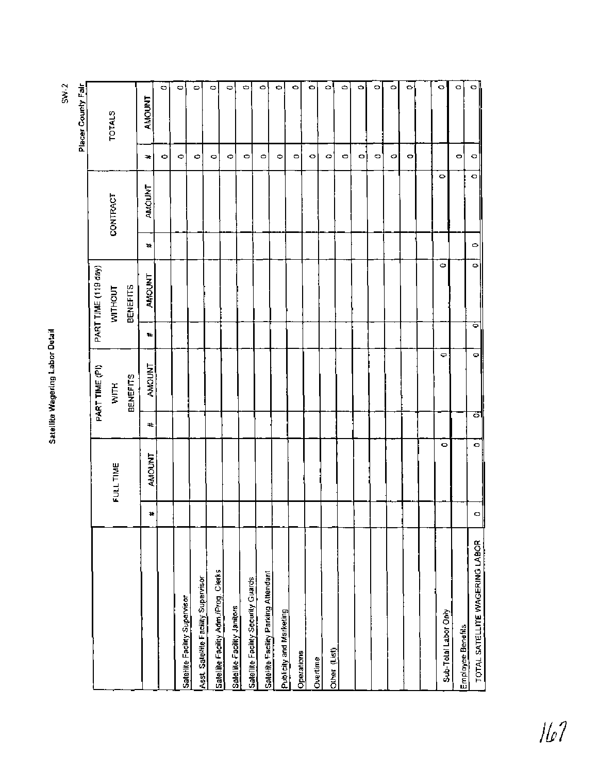|                                      |   |               |   | PART TIME (PI)  |    | PART TIME (119 day) |   |          |           | Placer County Fair |
|--------------------------------------|---|---------------|---|-----------------|----|---------------------|---|----------|-----------|--------------------|
|                                      |   | FULL TIME     |   | WITH            |    | <b>WITHOUT</b>      |   | CONTRACT |           | <b>TOTALS</b>      |
|                                      |   |               |   | <b>BENEFITS</b> |    | BENEFITS            |   |          |           |                    |
|                                      | ¥ | <b>AMOUNT</b> | # | <b>AMOUNT</b>   | Ŧ. | AMOUNT              | 4 | AMOUNT   | ÷.        | <b>AMOUNT</b>      |
|                                      |   |               |   |                 |    |                     |   |          | Ф         | $\circ$            |
| Satellite Facility Supervisor        |   |               |   |                 |    |                     |   |          | Φ         | ۰                  |
| Asst. Salellite Facility Supervisor  |   |               |   |                 |    |                     |   |          | ۰         | ۰                  |
| Salellite Facility Adm /Prog. Clerks |   |               |   |                 |    |                     |   |          | $\circ$   | c                  |
| Salellile Facility Janitors          |   |               |   |                 |    |                     |   |          | Φ         | $\circ$            |
| Satellite Facility Security Guards   |   |               |   |                 |    |                     |   |          | 0         | o                  |
| Saleliite Faciity Parking Attendant  |   |               |   |                 |    |                     |   |          | Φ         | $\circ$            |
| Publicily and Marketing              |   |               |   |                 |    |                     |   |          | $\bullet$ | Ф                  |
| Operations                           |   |               |   |                 |    |                     |   |          | $\circ$   | O                  |
| Overtime                             |   |               |   |                 |    |                     |   |          | o         | ۰                  |
| Other (List)                         |   |               |   |                 |    |                     |   |          | o         | $\circ$            |
|                                      |   |               |   |                 |    |                     |   |          | 0         | $\bullet$          |
|                                      |   |               |   |                 |    |                     |   |          | o         | O                  |
|                                      |   |               |   |                 |    |                     |   |          | $\circ$   | o                  |
|                                      |   |               |   |                 |    |                     |   |          | O         | $\circ$            |
|                                      |   |               |   |                 |    |                     |   |          | ۰         | ۰                  |
|                                      |   |               |   |                 |    |                     |   |          |           |                    |
| Sub-Tolal Labor Only                 |   | $\bullet$     |   | $\Box$          |    | ۰                   |   | ۰        |           | $\circ$            |
| Employee Benefits                    |   |               |   |                 |    |                     |   |          | 0         | O                  |
| TOTAL SATELLITE WAGERING LABOR       | O | $\circ$       | ਨ | $\circ$         | ਠ  | $\circ$             | o | $\circ$  | $\circ$   | $\circ$            |

 $SW.2$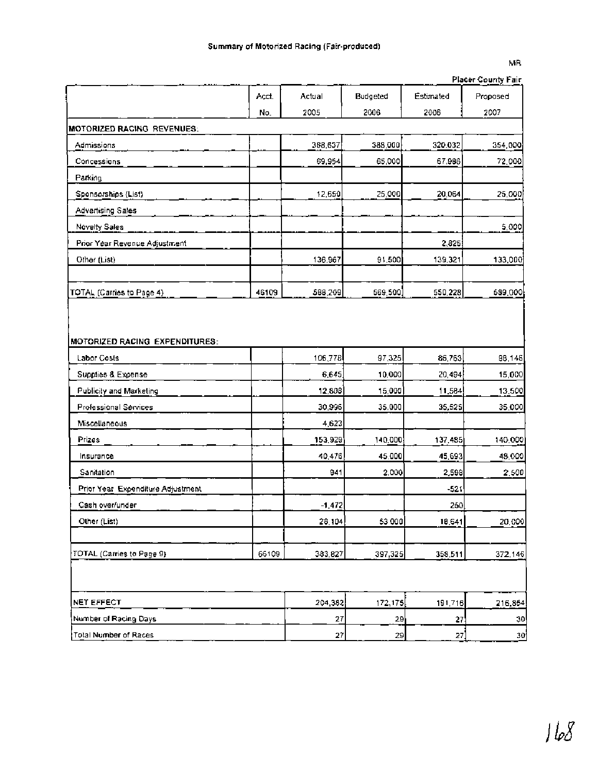## MR Placer County Fair

|                                   |       |            |          |           | Placer County Pair |
|-----------------------------------|-------|------------|----------|-----------|--------------------|
|                                   | Acct. | Actual     | Budgeted | Estimated | Proposed           |
|                                   | No.   | 2005       | 2006     | 2006      | 2007               |
| <b>MOTORIZED RACING REVENUES:</b> |       |            |          |           |                    |
| Admissions                        |       | 368,637    | 388,000  | 320.032   | 354,000            |
| Concessions                       |       | 69,954     | 65,000   | 67.986    | 72,000             |
| Parking                           |       |            |          |           |                    |
| Sponsorships (List)               |       | 12,650     | 25,000   | 20,064    | 25,000             |
| Advertising Sales                 |       |            |          |           |                    |
| <b>Novelty Sales</b>              |       |            |          |           | 5,000              |
| Prior Year Revenue Adjustment     |       |            |          | 2,825     |                    |
| Other (List)                      |       | 136,967    | 91,500   | 139,321   | 133,000            |
| TOTAL (Carries to Page 4)         | 46109 | 588,209    | 569,500  | 550,228   | 589,000            |
|                                   |       |            |          |           |                    |
| MOTORIZED RACING EXPENDITURES:    |       |            |          |           |                    |
| Labor Costs                       |       | 106,778    | 97,325   | 86,763    | 98,146             |
| Supplies & Expense                |       | 6,645      | 10,000   | 20,494    | 15,000             |
| Publicity and Marketing           |       | 12,808     | 15,000   | 11,584    | 13,500             |
| Professional Services             |       | 30,996     | 35,000   | 35,525    | 35,000             |
| Miscellaneous                     |       | 4,623      |          |           |                    |
| Prizes                            |       | 153,929    | 140,000  | 137,485   | 140,000            |
| Insurance                         |       | 40,476     | 45,000   | 45,693    | 48,000             |
| Sanitation                        |       | 941        | 2,000    | 2,598     | 2,500              |
| Prior Year Expenditure Adjustment |       |            |          | $-521$    |                    |
| Cash over/under                   |       | $-1,472$   |          | 250       |                    |
| Other (List)                      |       | 28,104     | 53 000   | 18,641    | 20,000             |
| TOTAL (Carries to Page 9)         | 66109 | 383,827    | 397,325  | 358,511   | 372,146            |
|                                   |       |            |          |           |                    |
| NET EFFECT                        |       | 204,382    | 172,175  | 191,716   | 216,854            |
| Number of Racing Days             |       | 27         | 29       | 27        | 30                 |
| Total Number of Races             |       | ${\bf 27}$ | 29       | 27)       | 30                 |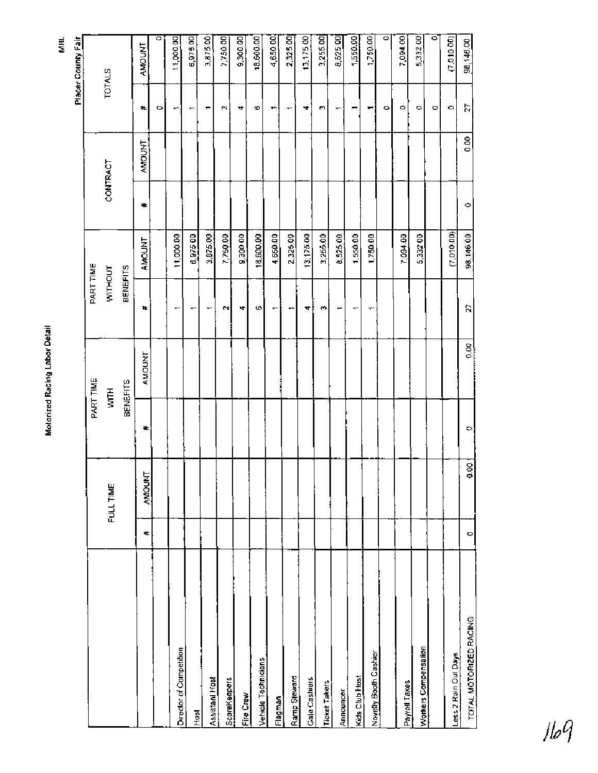| ı |
|---|
|   |

MHL Placer County Fair

|                         |         |               |   | PART TIME       | PART TIME       |               |    |          |          |                    |
|-------------------------|---------|---------------|---|-----------------|-----------------|---------------|----|----------|----------|--------------------|
|                         |         | FULL TIME     |   | HIM             | WITHOUT         |               |    | CONTRACT |          | <b>TOTALS</b>      |
|                         |         |               |   | <b>BENEFITS</b> | <b>BENEFITS</b> |               |    |          |          |                    |
|                         | #       | <b>AMOUNT</b> | ₩ | AMOUNT          | ¥.              | <b>AMOUNT</b> | ۰. | AMOUNT   | ×.       | AMOUNT             |
|                         |         |               |   |                 |                 |               |    |          | o        | $\circ$            |
| Director of Competition |         |               |   |                 |                 | 11,000.00     |    |          | ↽        | 11,000.00          |
| <b>Post</b>             |         |               |   |                 | ٠               | 6,97500       |    |          | ↽        | 6,975.00           |
| Assistant Host          |         |               |   |                 |                 | 3,875.00      |    |          | ٠        | 3,875.00           |
| ScoreKeepers            |         |               |   |                 | N,              | 7,750.00      |    |          | <b>C</b> | 7,750.00           |
| Fire Crew               |         |               |   |                 | 4               | 9,300 00      |    |          | 4        | 9,300.00           |
| Vehicle Technicians     |         |               |   |                 | 6               | 18,600.00     |    |          | 6        | 18,600.00          |
| Flagman                 |         |               |   |                 | ↽               | 4,650.00      |    |          | ٠        | 4,650.00           |
| Ramp Steward            |         |               |   |                 | .,              | 2,325.00      |    |          |          | 2,325.00           |
| Gale Cashiers           |         |               |   |                 | 4               | 13,175.00     |    |          | 4        | 13,175.00          |
| <b>Ticket Takers</b>    |         |               |   |                 | O               | 3,255.00      |    |          | S        | 2.255.00           |
| <b>Announcer</b>        |         |               |   |                 | ↽               | 8,525.00      |    |          |          | 8,525.00           |
| Kids Club Host          |         |               |   |                 | ↽               | 1,550.00      |    |          |          | 1,550.00           |
| Novelly Booth Cashier   |         |               |   |                 | ┯               | 1,750.00      |    |          | ↽        | 1,750.00           |
|                         |         |               |   |                 |                 |               |    |          | ۰        | $\overline{\circ}$ |
| Payroll Taxes           |         |               |   |                 |                 | 7,094.00      |    |          | Ō        | 7,094.00           |
| Workers Compensation    |         |               |   |                 |                 | 5,332 00      |    |          | ۰        | 5,332.00           |
|                         |         |               |   |                 |                 |               |    |          | ۰        | ਠ                  |
| Less 2 Rain Out Days    |         |               |   |                 |                 | (7,010,00)    |    |          | ٥        | (7.010.00)         |
| TOTAL MOTORIZED RACING  | $\circ$ | 0.00          | ۰ | $\frac{8}{9}$   | 2               | 98,146.00     | Ф  | 6.00     | 27       | 98,146.00          |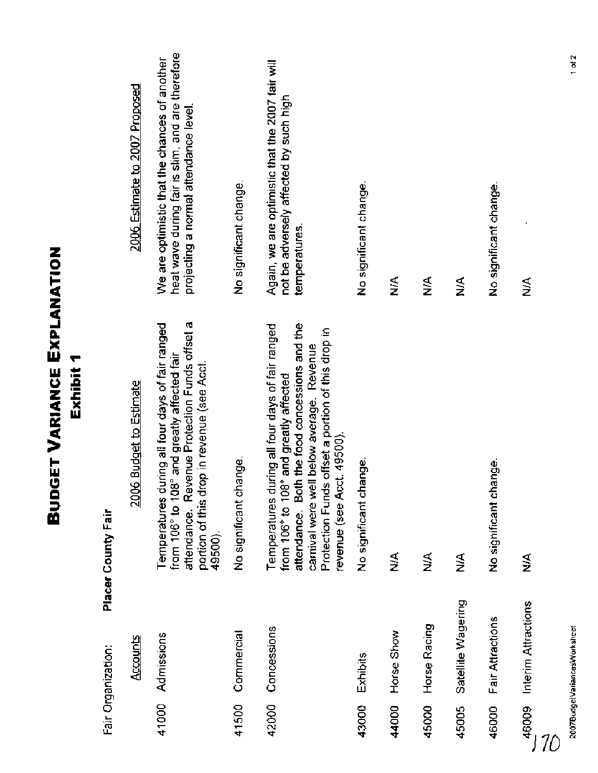|       |                              | <b>GET VARIANCE EXPLANATION</b><br>Exhibit 1<br>Buo                                                                                                                                                                                                                         |                                                                                                                                            |
|-------|------------------------------|-----------------------------------------------------------------------------------------------------------------------------------------------------------------------------------------------------------------------------------------------------------------------------|--------------------------------------------------------------------------------------------------------------------------------------------|
|       | Fair Organization:           | Placer County Fair                                                                                                                                                                                                                                                          |                                                                                                                                            |
|       | Accounts                     | 2006 Budget to Estimate                                                                                                                                                                                                                                                     | 2006 Estimate to 2007 Proposed                                                                                                             |
| 41000 | Admissions                   | attendance. Revenue Protection Funds offset a<br>Temperatures during all four days of fair ranged<br>from 106° to 108° and greatly affected fair<br>portion of this drop in revenue (see Acct.<br>49500).                                                                   | heat wave during fair is slim, and are therefore<br>We are optimistic that the chances of another<br>projecting a normal attendance level. |
| 41500 | Commercial                   | No significant change.                                                                                                                                                                                                                                                      | No significant change.                                                                                                                     |
| 42000 | Concessions                  | attendance. Both the food concessions and the<br>Temperatures during all four days of fair ranged<br>Protection Funds offset a portion of this drop in<br>carnival were well below average. Revenue<br>from 106° to 108° and greatly affected<br>revenue (see Acct. 49500). | Again, we are optimistic that the 2007 fair will<br>not be adversely affected by such high<br>temperatures.                                |
| 43000 | Exhibits                     | No significant change.                                                                                                                                                                                                                                                      | No significant change.                                                                                                                     |
| 44000 | Horse Show                   | ≸                                                                                                                                                                                                                                                                           | ⋚                                                                                                                                          |
| 45000 | Horse Racing                 | ⋚                                                                                                                                                                                                                                                                           | ⋚                                                                                                                                          |
| 45005 | Satellite Wagering           | ≸                                                                                                                                                                                                                                                                           | ⋚                                                                                                                                          |
| 46000 | Fair Attractions             | No significant change.                                                                                                                                                                                                                                                      | No significant change.                                                                                                                     |
| 46009 | Interim Attractions          | ⋚                                                                                                                                                                                                                                                                           | ≸                                                                                                                                          |
|       | 2007BudgetVariancesWorksheet |                                                                                                                                                                                                                                                                             | $1$ of $2$                                                                                                                                 |
|       |                              |                                                                                                                                                                                                                                                                             |                                                                                                                                            |
|       |                              |                                                                                                                                                                                                                                                                             |                                                                                                                                            |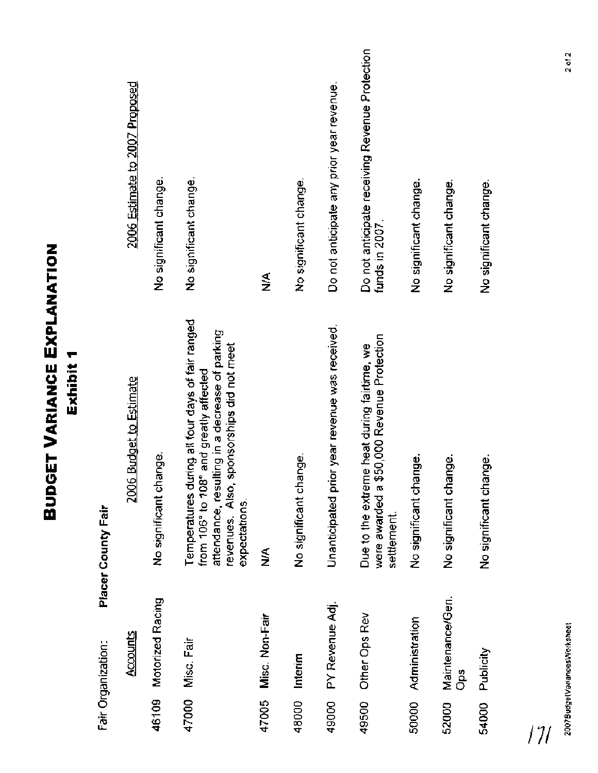|       |                              | <b>BUDGET VARIANCE EXPLANATION</b><br>Exhibit 1                                                                                                                                                            |                                                                  |
|-------|------------------------------|------------------------------------------------------------------------------------------------------------------------------------------------------------------------------------------------------------|------------------------------------------------------------------|
|       | Fair Organization:           | Placer County Fair                                                                                                                                                                                         |                                                                  |
|       | Accounts                     | 2006 Budget to Estimate                                                                                                                                                                                    | 2006 Estimate to 2007 Proposed                                   |
| 46109 | Motorized Racing             | No significant change.                                                                                                                                                                                     | No significant change.                                           |
| 47000 | Misc. Fair                   | Temperatures during all four days of fair ranged<br>attendance, resulting in a decrease of parking<br>revenues. Also, sponsorships did not meet<br>from 106° to 108° and greatly affected<br>expectations. | No significant change.                                           |
| 47005 | Misc. Non-Fair               | ⋚                                                                                                                                                                                                          | ≸                                                                |
| 48000 | Interim                      | No significant change.                                                                                                                                                                                     | No significant change.                                           |
| 49000 | PY Revenue Adj.              | Unanticipated prior year revenue was received.                                                                                                                                                             | Do not anticipate any prior year revenue.                        |
| 49500 | Other Ops Rev                | \$50,000 Revenue Protection<br>Due to the extreme heat during fairtime, we<br>were awarded a<br>settlement.                                                                                                | Do not anticipate receiving Revenue Protection<br>funds in 2007. |
| 50000 | Administration               | No significant change.                                                                                                                                                                                     | No significant change.                                           |
| 52000 | Maintenance/Gen.<br>å        | No significant change.                                                                                                                                                                                     | No significant change.                                           |
| 54000 | Publicity                    | No significant change.                                                                                                                                                                                     | No significant change.                                           |
|       |                              |                                                                                                                                                                                                            |                                                                  |
|       | 2007BudgelVariancesWorksheet |                                                                                                                                                                                                            | $2$ of $2$                                                       |
|       |                              |                                                                                                                                                                                                            |                                                                  |

 $/7/$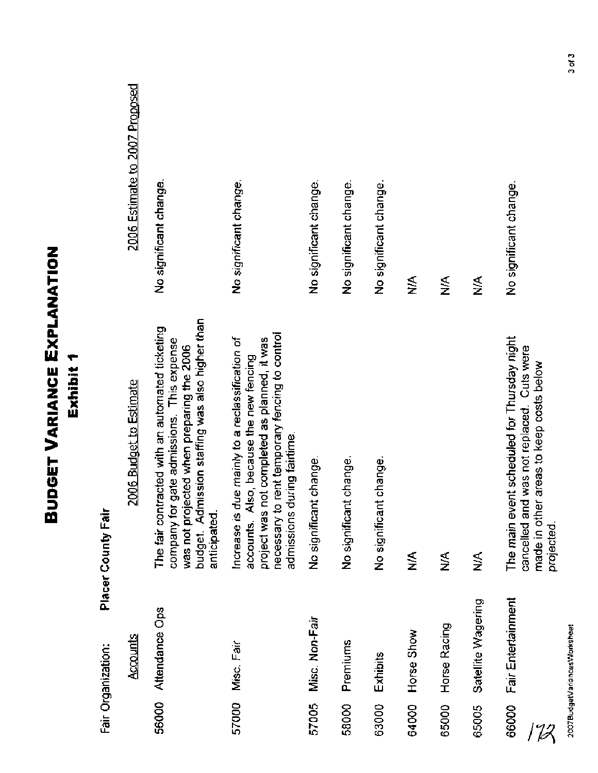# 2007BudgetVariancesWorksheet

 $3 of 3$